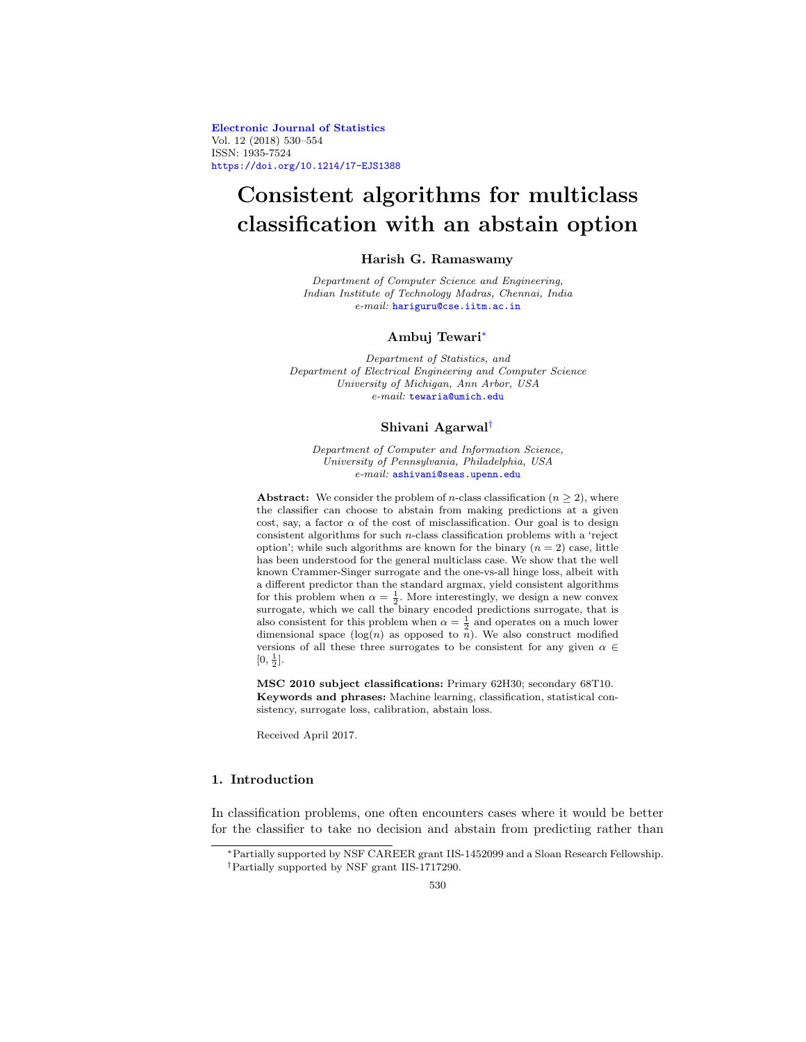Electronic Journal of Statistics Vol. 12 (2018) 530–554 ISSN: 1935-7524 https://doi.org/10.1214/17-EJS1388

# Consistent algorithms for multiclass classification with an abstain option

# Harish G. Ramaswamy

Department of Computer Science and Engineering, Indian Institute of Technology Madras, Chennai, India e-mail: hariguru@cse.iitm.ac.in

### Ambuj Tewari<sup>∗</sup>

Department of Statistics, and Department of Electrical Engineering and Computer Science University of Michigan, Ann Arbor, USA e-mail: tewaria@umich.edu

### Shivani Agarwal†

Department of Computer and Information Science, University of Pennsylvania, Philadelphia, USA e-mail: ashivani@seas.upenn.edu

Abstract: We consider the problem of *n*-class classification ( $n \geq 2$ ), where the classifier can choose to abstain from making predictions at a given cost, say, a factor  $\alpha$  of the cost of misclassification. Our goal is to design consistent algorithms for such  $n$ -class classification problems with a 'reject option'; while such algorithms are known for the binary  $(n = 2)$  case, little has been understood for the general multiclass case. We show that the well known Crammer-Singer surrogate and the one-vs-all hinge loss, albeit with a different predictor than the standard argmax, yield consistent algorithms for this problem when  $\alpha = \frac{1}{2}$ . More interestingly, we design a new convex surrogate, which we call the binary encoded predictions surrogate, that is also consistent for this problem when  $\alpha = \frac{1}{2}$  and operates on a much lower dimensional space  $(\log(n)$  as opposed to  $\overline{n}$ ). We also construct modified versions of all these three surrogates to be consistent for any given  $\alpha \in$  $[0, \frac{1}{2}].$ 

MSC 2010 subject classifications: Primary 62H30; secondary 68T10. Keywords and phrases: Machine learning, classification, statistical consistency, surrogate loss, calibration, abstain loss.

Received April 2017.

### 1. Introduction

In classification problems, one often encounters cases where it would be better for the classifier to take no decision and abstain from predicting rather than

<sup>∗</sup>Partially supported by NSF CAREER grant IIS-1452099 and a Sloan Research Fellowship. †Partially supported by NSF grant IIS-1717290.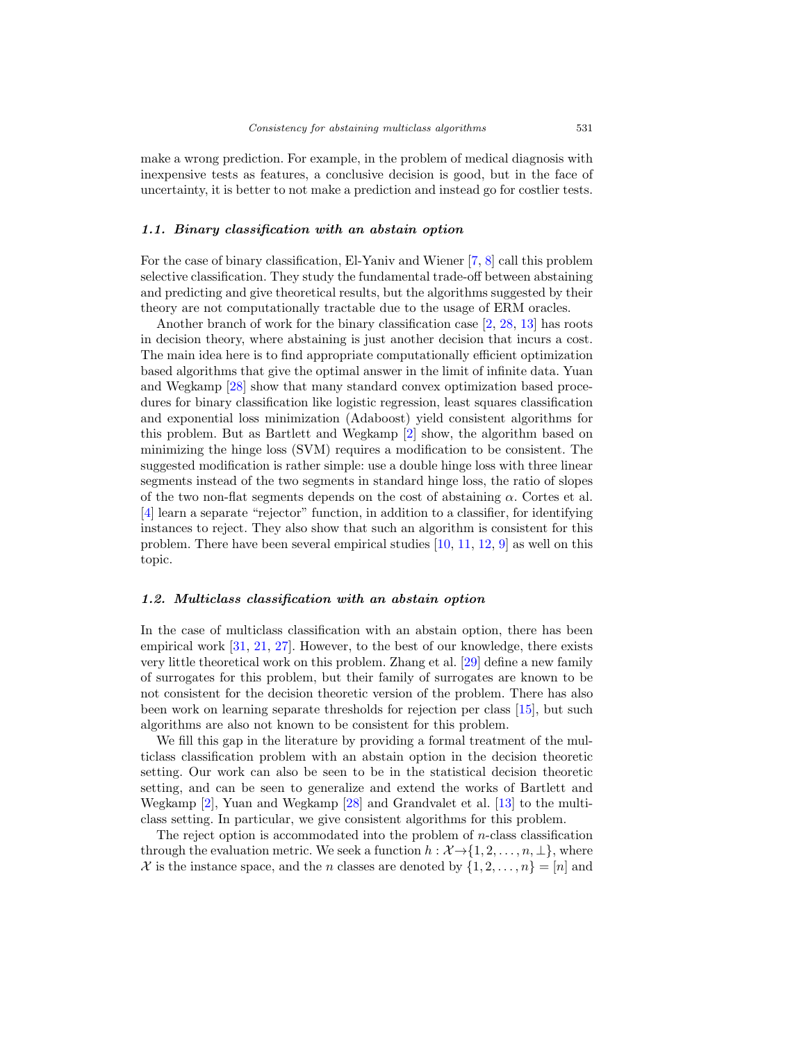make a wrong prediction. For example, in the problem of medical diagnosis with inexpensive tests as features, a conclusive decision is good, but in the face of uncertainty, it is better to not make a prediction and instead go for costlier tests.

### 1.1. Binary classification with an abstain option

For the case of binary classification, El-Yaniv and Wiener [7, 8] call this problem selective classification. They study the fundamental trade-off between abstaining and predicting and give theoretical results, but the algorithms suggested by their theory are not computationally tractable due to the usage of ERM oracles.

Another branch of work for the binary classification case [2, 28, 13] has roots in decision theory, where abstaining is just another decision that incurs a cost. The main idea here is to find appropriate computationally efficient optimization based algorithms that give the optimal answer in the limit of infinite data. Yuan and Wegkamp [28] show that many standard convex optimization based procedures for binary classification like logistic regression, least squares classification and exponential loss minimization (Adaboost) yield consistent algorithms for this problem. But as Bartlett and Wegkamp [2] show, the algorithm based on minimizing the hinge loss (SVM) requires a modification to be consistent. The suggested modification is rather simple: use a double hinge loss with three linear segments instead of the two segments in standard hinge loss, the ratio of slopes of the two non-flat segments depends on the cost of abstaining  $\alpha$ . Cortes et al. [4] learn a separate "rejector" function, in addition to a classifier, for identifying instances to reject. They also show that such an algorithm is consistent for this problem. There have been several empirical studies [10, 11, 12, 9] as well on this topic.

### 1.2. Multiclass classification with an abstain option

In the case of multiclass classification with an abstain option, there has been empirical work [31, 21, 27]. However, to the best of our knowledge, there exists very little theoretical work on this problem. Zhang et al. [29] define a new family of surrogates for this problem, but their family of surrogates are known to be not consistent for the decision theoretic version of the problem. There has also been work on learning separate thresholds for rejection per class [15], but such algorithms are also not known to be consistent for this problem.

We fill this gap in the literature by providing a formal treatment of the multiclass classification problem with an abstain option in the decision theoretic setting. Our work can also be seen to be in the statistical decision theoretic setting, and can be seen to generalize and extend the works of Bartlett and Wegkamp [2], Yuan and Wegkamp [28] and Grandvalet et al. [13] to the multiclass setting. In particular, we give consistent algorithms for this problem.

The reject option is accommodated into the problem of  $n$ -class classification through the evaluation metric. We seek a function  $h : \mathcal{X} \rightarrow \{1, 2, \ldots, n, \perp\}$ , where X is the instance space, and the n classes are denoted by  $\{1, 2, ..., n\} = [n]$  and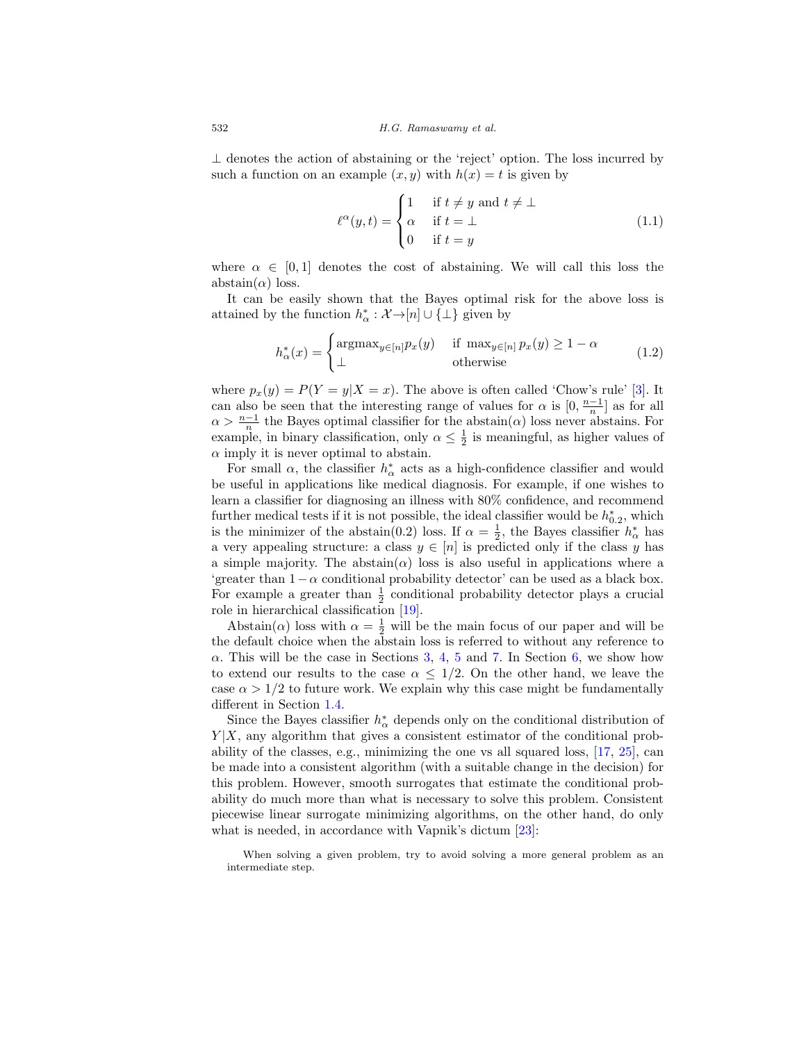⊥ denotes the action of abstaining or the 'reject' option. The loss incurred by such a function on an example  $(x, y)$  with  $h(x) = t$  is given by

$$
\ell^{\alpha}(y,t) = \begin{cases} 1 & \text{if } t \neq y \text{ and } t \neq \bot \\ \alpha & \text{if } t = \bot \\ 0 & \text{if } t = y \end{cases}
$$
(1.1)

where  $\alpha \in [0, 1]$  denotes the cost of abstaining. We will call this loss the abstain $(\alpha)$  loss.

It can be easily shown that the Bayes optimal risk for the above loss is attained by the function  $h^*_{\alpha}: \mathcal{X} \rightarrow [n] \cup \{\perp\}$  given by

$$
h_{\alpha}^*(x) = \begin{cases} \operatorname{argmax}_{y \in [n]} p_x(y) & \text{if } \max_{y \in [n]} p_x(y) \ge 1 - \alpha \\ \perp & \text{otherwise} \end{cases}
$$
(1.2)

where  $p_x(y) = P(Y = y | X = x)$ . The above is often called 'Chow's rule' [3]. It can also be seen that the interesting range of values for  $\alpha$  is  $[0, \frac{n-1}{n}]$  as for all  $\alpha > \frac{n-1}{n}$  the Bayes optimal classifier for the abstain( $\alpha$ ) loss never abstains. For example, in binary classification, only  $\alpha \leq \frac{1}{2}$  is meaningful, as higher values of  $\alpha$  imply it is never optimal to abstain.

For small  $\alpha$ , the classifier  $h^*_{\alpha}$  acts as a high-confidence classifier and would be useful in applications like medical diagnosis. For example, if one wishes to learn a classifier for diagnosing an illness with 80% confidence, and recommend further medical tests if it is not possible, the ideal classifier would be  $h_{0.2}^*$ , which is the minimizer of the abstain(0.2) loss. If  $\alpha = \frac{1}{2}$ , the Bayes classifier  $h^*_{\alpha}$  has a very appealing structure: a class  $y \in [n]$  is predicted only if the class y has a simple majority. The abstain( $\alpha$ ) loss is also useful in applications where a 'greater than  $1-\alpha$  conditional probability detector' can be used as a black box. For example a greater than  $\frac{1}{2}$  conditional probability detector plays a crucial role in hierarchical classification [19].

Abstain( $\alpha$ ) loss with  $\alpha = \frac{1}{2}$  will be the main focus of our paper and will be the default choice when the abstain loss is referred to without any reference to  $\alpha$ . This will be the case in Sections 3, 4, 5 and 7. In Section 6, we show how to extend our results to the case  $\alpha \leq 1/2$ . On the other hand, we leave the case  $\alpha > 1/2$  to future work. We explain why this case might be fundamentally different in Section 1.4.

Since the Bayes classifier  $h^*_{\alpha}$  depends only on the conditional distribution of  $Y|X$ , any algorithm that gives a consistent estimator of the conditional probability of the classes, e.g., minimizing the one vs all squared loss, [17, 25], can be made into a consistent algorithm (with a suitable change in the decision) for this problem. However, smooth surrogates that estimate the conditional probability do much more than what is necessary to solve this problem. Consistent piecewise linear surrogate minimizing algorithms, on the other hand, do only what is needed, in accordance with Vapnik's dictum [23]:

When solving a given problem, try to avoid solving a more general problem as an intermediate step.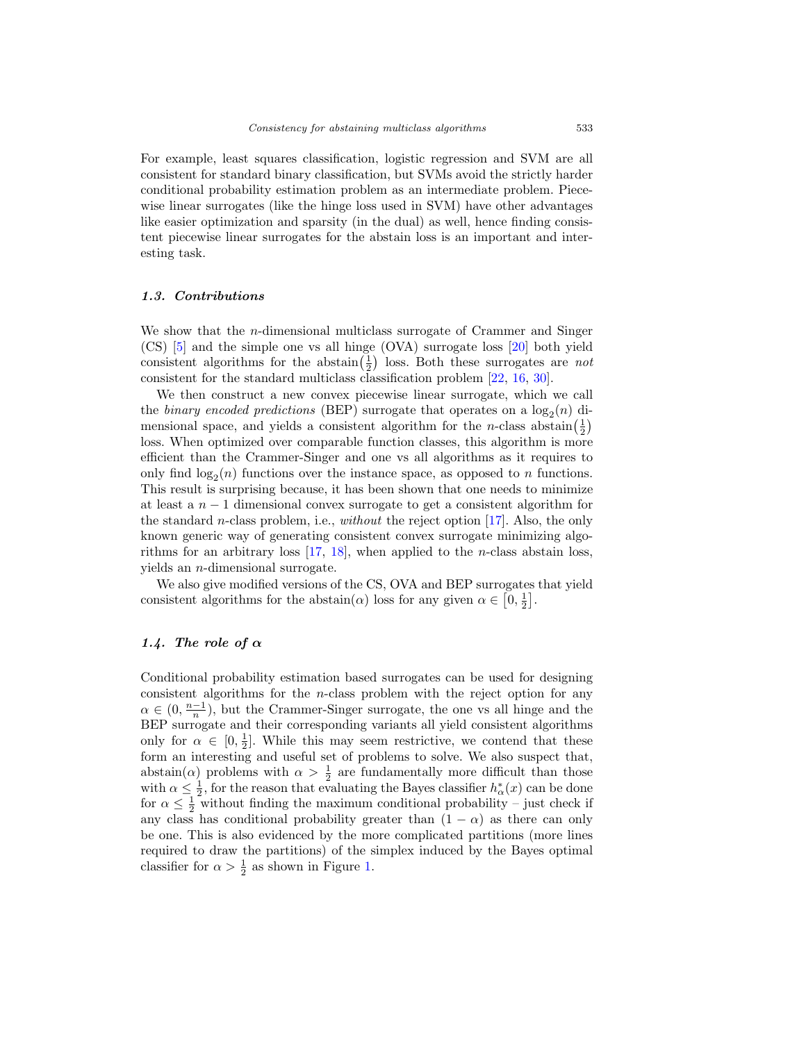For example, least squares classification, logistic regression and SVM are all consistent for standard binary classification, but SVMs avoid the strictly harder conditional probability estimation problem as an intermediate problem. Piecewise linear surrogates (like the hinge loss used in SVM) have other advantages like easier optimization and sparsity (in the dual) as well, hence finding consistent piecewise linear surrogates for the abstain loss is an important and interesting task.

### 1.3. Contributions

We show that the *n*-dimensional multiclass surrogate of Crammer and Singer (CS) [5] and the simple one vs all hinge (OVA) surrogate loss [20] both yield consistent algorithms for the abstain $(\frac{1}{2})$  loss. Both these surrogates are *not* consistent for the standard multiclass classification problem [22, 16, 30].

We then construct a new convex piecewise linear surrogate, which we call the *binary encoded predictions* (BEP) surrogate that operates on a  $\log_2(n)$  dimensional space, and yields a consistent algorithm for the *n*-class abstain $(\frac{1}{2})$ loss. When optimized over comparable function classes, this algorithm is more efficient than the Crammer-Singer and one vs all algorithms as it requires to only find  $log_2(n)$  functions over the instance space, as opposed to n functions. This result is surprising because, it has been shown that one needs to minimize at least a  $n-1$  dimensional convex surrogate to get a consistent algorithm for the standard n-class problem, i.e., without the reject option [17]. Also, the only known generic way of generating consistent convex surrogate minimizing algorithms for an arbitrary loss  $[17, 18]$ , when applied to the *n*-class abstain loss, yields an n-dimensional surrogate.

We also give modified versions of the CS, OVA and BEP surrogates that yield consistent algorithms for the abstain( $\alpha$ ) loss for any given  $\alpha \in [0, \frac{1}{2}]$ .

### 1.4. The role of  $\alpha$

Conditional probability estimation based surrogates can be used for designing consistent algorithms for the n-class problem with the reject option for any  $\alpha \in (0, \frac{n-1}{n})$ , but the Crammer-Singer surrogate, the one vs all hinge and the BEP surrogate and their corresponding variants all yield consistent algorithms only for  $\alpha \in [0, \frac{1}{2}]$ . While this may seem restrictive, we contend that these form an interesting and useful set of problems to solve. We also suspect that, abstain( $\alpha$ ) problems with  $\alpha > \frac{1}{2}$  are fundamentally more difficult than those with  $\alpha \leq \frac{1}{2}$ , for the reason that evaluating the Bayes classifier  $h^*_{\alpha}(x)$  can be done for  $\alpha \leq \frac{1}{2}$  without finding the maximum conditional probability – just check if any class has conditional probability greater than  $(1 - \alpha)$  as there can only be one. This is also evidenced by the more complicated partitions (more lines required to draw the partitions) of the simplex induced by the Bayes optimal classifier for  $\alpha > \frac{1}{2}$  as shown in Figure 1.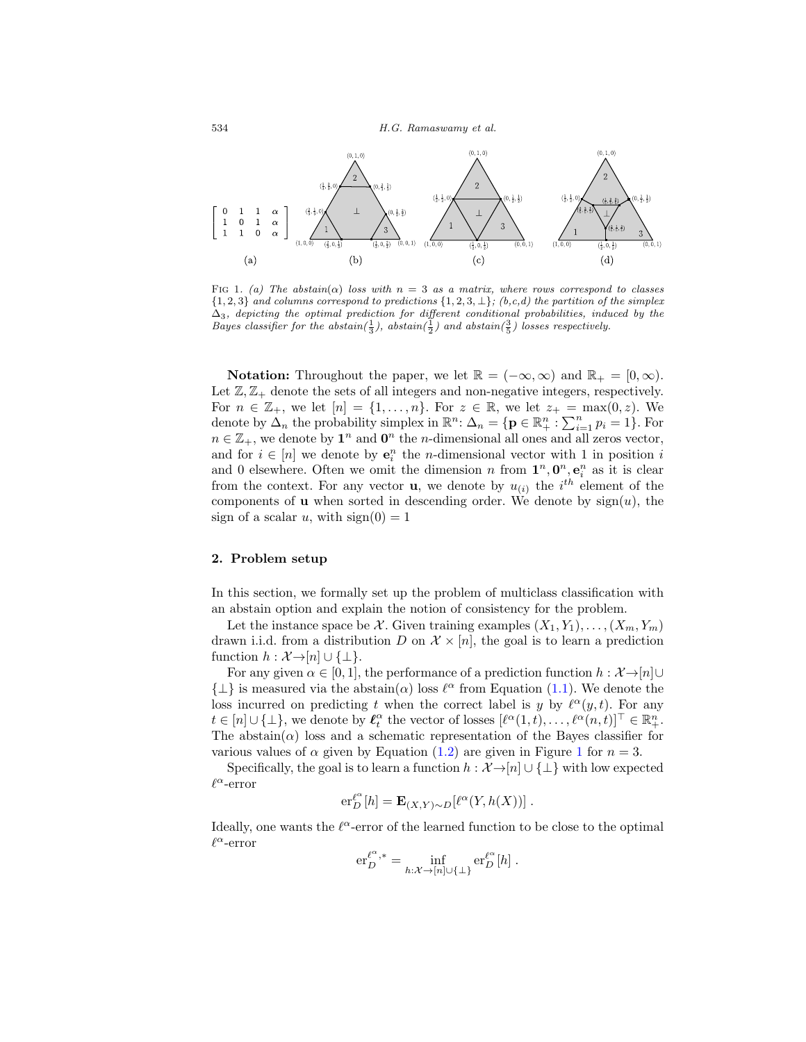

FIG 1. (a) The abstain( $\alpha$ ) loss with  $n = 3$  as a matrix, where rows correspond to classes  $\{1, 2, 3\}$  and columns correspond to predictions  $\{1, 2, 3, \perp\}$ ; (b,c,d) the partition of the simplex  $\Delta_3$ , depicting the optimal prediction for different conditional probabilities, induced by the Bayes classifier for the abstain( $\frac{1}{3}$ ), abstain( $\frac{3}{2}$ ) and abstain( $\frac{3}{5}$ ) losses respectively.

**Notation:** Throughout the paper, we let  $\mathbb{R} = (-\infty, \infty)$  and  $\mathbb{R}_+ = [0, \infty)$ . Let  $\mathbb{Z}, \mathbb{Z}_+$  denote the sets of all integers and non-negative integers, respectively. For  $n \in \mathbb{Z}_+$ , we let  $[n] = \{1,\ldots,n\}$ . For  $z \in \mathbb{R}$ , we let  $z_+ = \max(0,z)$ . We denote by  $\Delta_n$  the probability simplex in  $\mathbb{R}^n$ :  $\Delta_n = \{ \mathbf{p} \in \mathbb{R}^n_+ : \sum_{i=1}^n p_i = 1 \}$ . For  $n \in \mathbb{Z}_+$ , we denote by  $\mathbf{1}^n$  and  $\mathbf{0}^n$  the *n*-dimensional all ones and all zeros vector, and for  $i \in [n]$  we denote by  $e_i^n$  the *n*-dimensional vector with 1 in position i and 0 elsewhere. Often we omit the dimension n from  $1^n, 0^n, e_i^n$  as it is clear from the context. For any vector **u**, we denote by  $u_{(i)}$  the i<sup>th</sup> element of the components of **u** when sorted in descending order. We denote by  $sign(u)$ , the sign of a scalar u, with  $sign(0) = 1$ 

### 2. Problem setup

In this section, we formally set up the problem of multiclass classification with an abstain option and explain the notion of consistency for the problem.

Let the instance space be X. Given training examples  $(X_1, Y_1), \ldots, (X_m, Y_m)$ drawn i.i.d. from a distribution D on  $\mathcal{X} \times [n]$ , the goal is to learn a prediction function  $h : \mathcal{X} \rightarrow [n] \cup \{\perp\}.$ 

For any given  $\alpha \in [0,1]$ , the performance of a prediction function  $h: \mathcal{X} \rightarrow [n] \cup$  $\{\perp\}$  is measured via the abstain $(\alpha)$  loss  $\ell^{\alpha}$  from Equation (1.1). We denote the loss incurred on predicting t when the correct label is y by  $\ell^{\alpha}(y, t)$ . For any  $t \in [n] \cup \{\perp\}$ , we denote by  $\ell_t^{\alpha}$  the vector of losses  $[\ell^{\alpha}(1,t), \ldots, \ell^{\alpha}(n,t)]^{\top} \in \mathbb{R}_+^n$ . The abstain( $\alpha$ ) loss and a schematic representation of the Bayes classifier for various values of  $\alpha$  given by Equation (1.2) are given in Figure 1 for  $n = 3$ .

Specifically, the goal is to learn a function  $h : \mathcal{X} \rightarrow [n] \cup \{\perp\}$  with low expected  $\ell^{\alpha}$ -error

$$
\mathrm{er}_{D}^{\ell^{\alpha}}[h] = \mathbf{E}_{(X,Y)\sim D}[\ell^{\alpha}(Y,h(X))].
$$

Ideally, one wants the  $\ell^{\alpha}$ -error of the learned function to be close to the optimal  $\ell^{\alpha}$ -error

$$
\mathrm{er}_{D}^{\ell^{\alpha},*} = \inf_{h:\mathcal{X}\to[n]\cup\{\perp\}} \mathrm{er}_{D}^{\ell^{\alpha}}[h] .
$$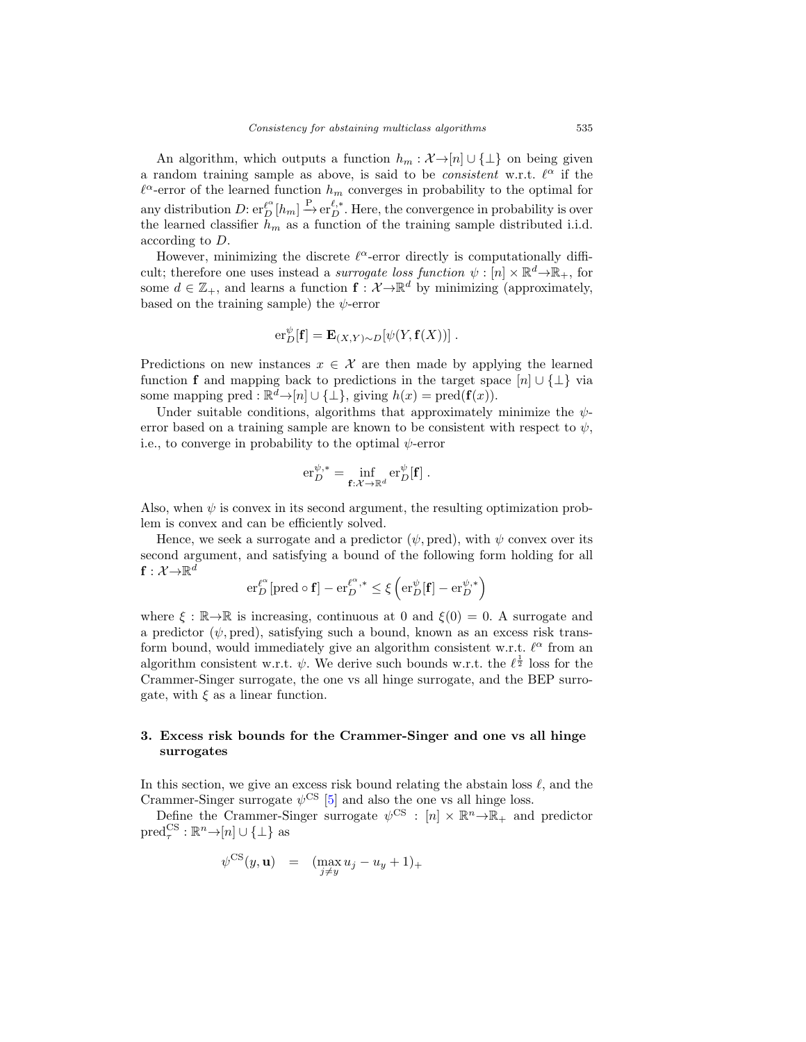An algorithm, which outputs a function  $h_m : \mathcal{X} \rightarrow [n] \cup \{\perp\}$  on being given a random training sample as above, is said to be *consistent* w.r.t.  $\ell^{\alpha}$  if the  $\ell^{\alpha}$ -error of the learned function  $h_m$  converges in probability to the optimal for any distribution  $D: \operatorname{er}^{\ell^{\alpha}}_{D}[h_m] \xrightarrow{P} \operatorname{er}^{\ell,*}_{D}$ . Here, the convergence in probability is over the learned classifier  $\tilde{h}_m$  as a function of the training sample distributed i.i.d. according to D.

However, minimizing the discrete  $\ell^{\alpha}$ -error directly is computationally difficult; therefore one uses instead a *surrogate loss function*  $\psi : [n] \times \mathbb{R}^d \to \mathbb{R}_+$ , for some  $d \in \mathbb{Z}_+$ , and learns a function  $f: \mathcal{X} \to \mathbb{R}^d$  by minimizing (approximately, based on the training sample) the  $\psi$ -error

$$
\mathrm{er}_D^{\psi}[\mathbf{f}] = \mathbf{E}_{(X,Y)\sim D}[\psi(Y, \mathbf{f}(X))].
$$

Predictions on new instances  $x \in \mathcal{X}$  are then made by applying the learned function f and mapping back to predictions in the target space  $[n] \cup {\perp}$  via some mapping pred :  $\mathbb{R}^d \to [n] \cup \{\perp\}$ , giving  $h(x) = \text{pred}(\mathbf{f}(x))$ .

Under suitable conditions, algorithms that approximately minimize the  $\psi$ error based on a training sample are known to be consistent with respect to  $\psi$ , i.e., to converge in probability to the optimal  $\psi$ -error

$$
\mathrm{er}_{D}^{\psi,*} = \inf_{\mathbf{f}: \mathcal{X} \to \mathbb{R}^d} \mathrm{er}_{D}^{\psi}[\mathbf{f}].
$$

Also, when  $\psi$  is convex in its second argument, the resulting optimization problem is convex and can be efficiently solved.

Hence, we seek a surrogate and a predictor  $(\psi, \text{pred})$ , with  $\psi$  convex over its second argument, and satisfying a bound of the following form holding for all  $\textbf{f}: \mathcal{X} {\rightarrow} \mathbb{R}^d$ 

$$
\mathrm{er}_{D}^{\ell^{\alpha}}[\mathrm{pred} \circ \mathbf{f}] - \mathrm{er}_{D}^{\ell^{\alpha},*} \leq \xi \left( \mathrm{er}_{D}^{\psi}[\mathbf{f}] - \mathrm{er}_{D}^{\psi,*} \right)
$$

where  $\xi : \mathbb{R} \to \mathbb{R}$  is increasing, continuous at 0 and  $\xi(0) = 0$ . A surrogate and a predictor  $(\psi, \text{pred})$ , satisfying such a bound, known as an excess risk transform bound, would immediately give an algorithm consistent w.r.t.  $\ell^{\alpha}$  from an algorithm consistent w.r.t.  $\psi$ . We derive such bounds w.r.t. the  $\ell^{\frac{1}{2}}$  loss for the Crammer-Singer surrogate, the one vs all hinge surrogate, and the BEP surrogate, with  $\xi$  as a linear function.

# 3. Excess risk bounds for the Crammer-Singer and one vs all hinge surrogates

In this section, we give an excess risk bound relating the abstain loss  $\ell$ , and the Crammer-Singer surrogate  $\psi^{\text{CS}}$  [5] and also the one vs all hinge loss.

Define the Crammer-Singer surrogate  $\psi^{CS}$  :  $[n] \times \mathbb{R}^n \rightarrow \mathbb{R}_+$  and predictor  $\text{pred}_{\tau}^{\text{CS}} : \mathbb{R}^n \rightarrow [n] \cup \{\perp\}$  as

$$
\psi^{\mathrm{CS}}(y, \mathbf{u}) = (\max_{j \neq y} u_j - u_y + 1)_+
$$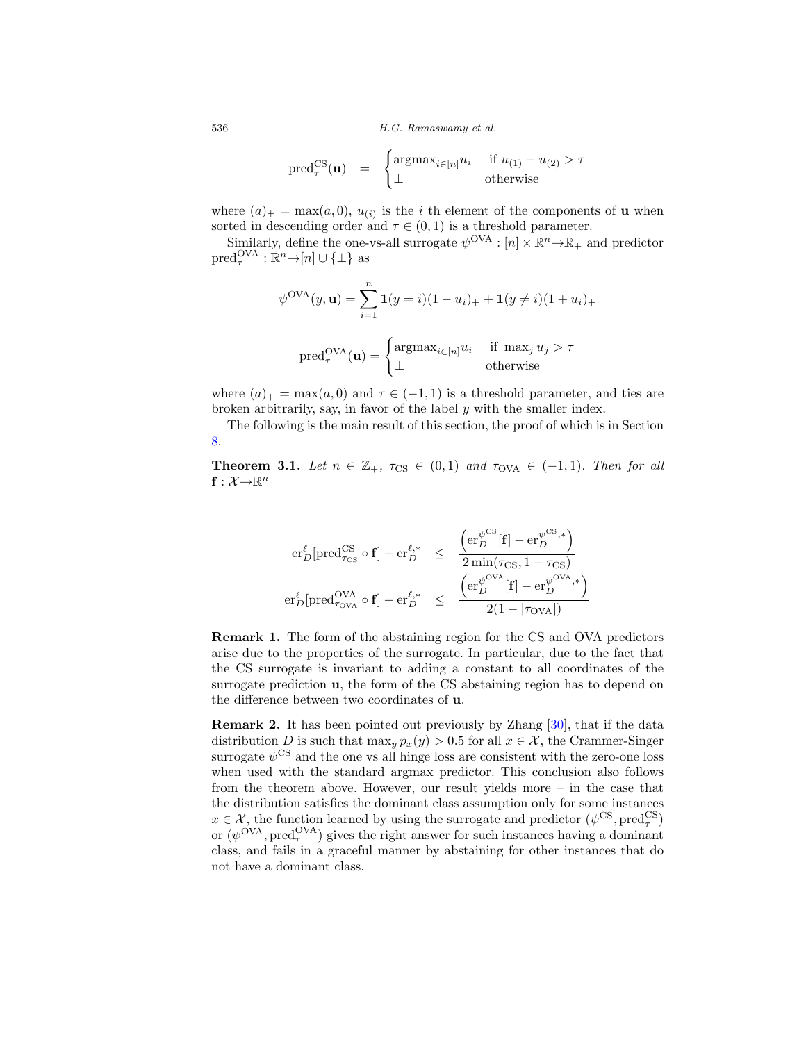$$
\mathrm{pred}_{\tau}^{\mathrm{CS}}(\mathbf{u}) = \begin{cases} \mathrm{argmax}_{i \in [n]} u_i & \text{if } u_{(1)} - u_{(2)} > \tau \\ \perp & \text{otherwise} \end{cases}
$$

where  $(a)_+ = \max(a, 0), u_{(i)}$  is the *i* th element of the components of **u** when sorted in descending order and  $\tau \in (0,1)$  is a threshold parameter.

Similarly, define the one-vs-all surrogate  $\psi^{\text{OVA}} : [n] \times \mathbb{R}^n \rightarrow \mathbb{R}_+$  and predictor  $\text{pred}_{\tau}^{\text{OVA}} : \mathbb{R}^n \rightarrow [n] \cup \{\perp\}$  as

$$
\psi^{\text{OVA}}(y, \mathbf{u}) = \sum_{i=1}^{n} \mathbf{1}(y=i)(1-u_i)_+ + \mathbf{1}(y \neq i)(1+u_i)_+
$$
  
pred<sub>τ</sub><sup>OVA</sup>( $\mathbf{u}$ ) = 
$$
\begin{cases} \text{argmax}_{i \in [n]} u_i & \text{if } \max_j u_j > \tau \\ \bot & \text{otherwise} \end{cases}
$$

where  $(a)_+ = \max(a, 0)$  and  $\tau \in (-1, 1)$  is a threshold parameter, and ties are broken arbitrarily, say, in favor of the label  $y$  with the smaller index.

The following is the main result of this section, the proof of which is in Section 8.

**Theorem 3.1.** Let  $n \in \mathbb{Z}_+$ ,  $\tau_{CS} \in (0,1)$  and  $\tau_{OVA} \in (-1,1)$ . Then for all  $\textbf{f}: \mathcal{X} {\rightarrow} \mathbb{R}^n$ 

$$
\begin{array}{rcl} \operatorname{er}_D^\ell[\operatorname{pred}_{\tau_{\mathrm{CS}}}^{\mathrm{CS}}\circ\mathbf{f}]-\operatorname{er}_D^{\ell,*}&\leq&\frac{\left(\operatorname{er}_D^{\psi^{\mathrm{CS}}}[\mathbf{f}]-\operatorname{er}_D^{\psi^{\mathrm{CS}},*}\right)}{2\min(\tau_{\mathrm{CS}},1-\tau_{\mathrm{CS}})}\\ \operatorname{er}_D^\ell[\operatorname{pred}_{\tau_{\mathrm{OVA}}}^{\mathrm{OVA}}\circ\mathbf{f}]-\operatorname{er}_D^{\ell,*}&\leq&\frac{\left(\operatorname{er}_D^{\psi^{\mathrm{OVA}}}[\mathbf{f}]-\operatorname{er}_D^{\psi^{\mathrm{OVA}},*}\right)}{2(1-|\tau_{\mathrm{OVA}}|)} \end{array}
$$

Remark 1. The form of the abstaining region for the CS and OVA predictors arise due to the properties of the surrogate. In particular, due to the fact that the CS surrogate is invariant to adding a constant to all coordinates of the surrogate prediction  $u$ , the form of the CS abstaining region has to depend on the difference between two coordinates of u.

Remark 2. It has been pointed out previously by Zhang [30], that if the data distribution D is such that  $\max_{y} p_x(y) > 0.5$  for all  $x \in \mathcal{X}$ , the Crammer-Singer surrogate  $\psi^{\mathrm{CS}}$  and the one vs all hinge loss are consistent with the zero-one loss when used with the standard argmax predictor. This conclusion also follows from the theorem above. However, our result yields more – in the case that the distribution satisfies the dominant class assumption only for some instances  $x \in \mathcal{X}$ , the function learned by using the surrogate and predictor  $(\psi^{\text{CS}}, \text{pred}_{\tau}^{\text{CS}})$ or  $(\psi^{\text{OVA}}, \text{pred}_{\tau}^{\text{OVA}})$  gives the right answer for such instances having a dominant class, and fails in a graceful manner by abstaining for other instances that do not have a dominant class.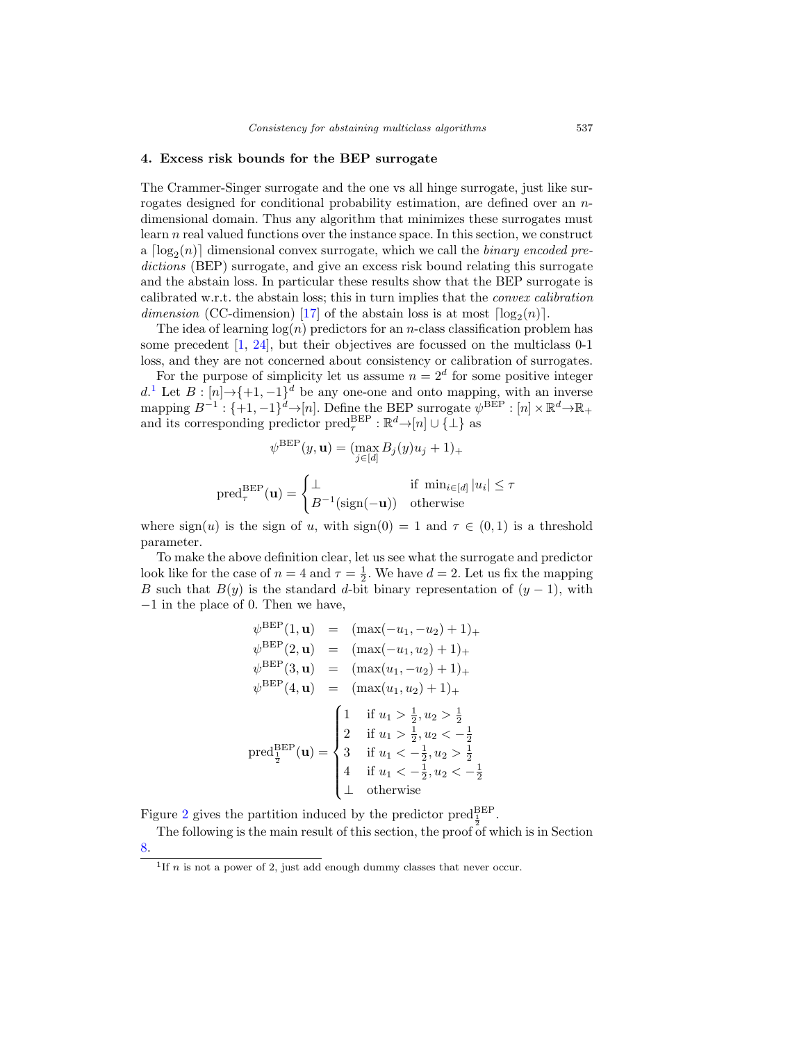#### 4. Excess risk bounds for the BEP surrogate

The Crammer-Singer surrogate and the one vs all hinge surrogate, just like surrogates designed for conditional probability estimation, are defined over an ndimensional domain. Thus any algorithm that minimizes these surrogates must learn n real valued functions over the instance space. In this section, we construct a  $\lceil \log_2(n) \rceil$  dimensional convex surrogate, which we call the *binary encoded pre*dictions (BEP) surrogate, and give an excess risk bound relating this surrogate and the abstain loss. In particular these results show that the BEP surrogate is calibrated w.r.t. the abstain loss; this in turn implies that the convex calibration dimension (CC-dimension) [17] of the abstain loss is at most  $\lceil \log_2(n) \rceil$ .

The idea of learning  $log(n)$  predictors for an *n*-class classification problem has some precedent [1, 24], but their objectives are focussed on the multiclass 0-1 loss, and they are not concerned about consistency or calibration of surrogates.

For the purpose of simplicity let us assume  $n = 2<sup>d</sup>$  for some positive integer d.<sup>1</sup> Let  $B: [n] \rightarrow \{+1, -1\}^d$  be any one-one and onto mapping, with an inverse mapping  $B^{-1}$ : {+1, -1}<sup>d</sup>→[n]. Define the BEP surrogate  $\psi^{\text{BEP}}$ : [n]  $\times \mathbb{R}^d \rightarrow \mathbb{R}_+$ and its corresponding predictor  $\text{pred}_{\tau}^{\text{BEP}} : \mathbb{R}^d \rightarrow [n] \cup \{\perp\}$  as

$$
\psi^{\text{BEP}}(y, \mathbf{u}) = (\max_{j \in [d]} B_j(y)u_j + 1)_+
$$

$$
\text{pred}_{\tau}^{\text{BEP}}(\mathbf{u}) = \begin{cases} \bot & \text{if } \min_{i \in [d]} |u_i| \le \tau \\ B^{-1}(\text{sign}(-\mathbf{u})) & \text{otherwise} \end{cases}
$$

where  $sign(u)$  is the sign of u, with  $sign(0) = 1$  and  $\tau \in (0,1)$  is a threshold parameter.

To make the above definition clear, let us see what the surrogate and predictor look like for the case of  $n = 4$  and  $\tau = \frac{1}{2}$ . We have  $d = 2$ . Let us fix the mapping B such that  $B(y)$  is the standard d-bit binary representation of  $(y - 1)$ , with −1 in the place of 0. Then we have,

$$
\psi^{\text{BEP}}(1, \mathbf{u}) = (\max(-u_1, -u_2) + 1) +
$$
  
\n
$$
\psi^{\text{BEP}}(2, \mathbf{u}) = (\max(-u_1, u_2) + 1) +
$$
  
\n
$$
\psi^{\text{BEP}}(3, \mathbf{u}) = (\max(u_1, -u_2) + 1) +
$$
  
\n
$$
\psi^{\text{BEP}}(4, \mathbf{u}) = (\max(u_1, u_2) + 1) +
$$
  
\n
$$
\psi^{\text{BEP}}(4, \mathbf{u}) = (\max(u_1, u_2) + 1) +
$$
  
\n
$$
\psi^{\text{BEP}}(4, \mathbf{u}) = \begin{cases} 1 & \text{if } u_1 > \frac{1}{2}, u_2 > \frac{1}{2} \\ 2 & \text{if } u_1 > \frac{1}{2}, u_2 < -\frac{1}{2} \\ 3 & \text{if } u_1 < -\frac{1}{2}, u_2 < -\frac{1}{2} \\ 4 & \text{if } u_1 < -\frac{1}{2}, u_2 < -\frac{1}{2} \end{cases}
$$

Figure 2 gives the partition induced by the predictor  $\text{pred}_{\frac{1}{2}}^{\text{BEP}}$ .

The following is the main result of this section, the proof of which is in Section 8.

<sup>&</sup>lt;sup>1</sup>If *n* is not a power of 2, just add enough dummy classes that never occur.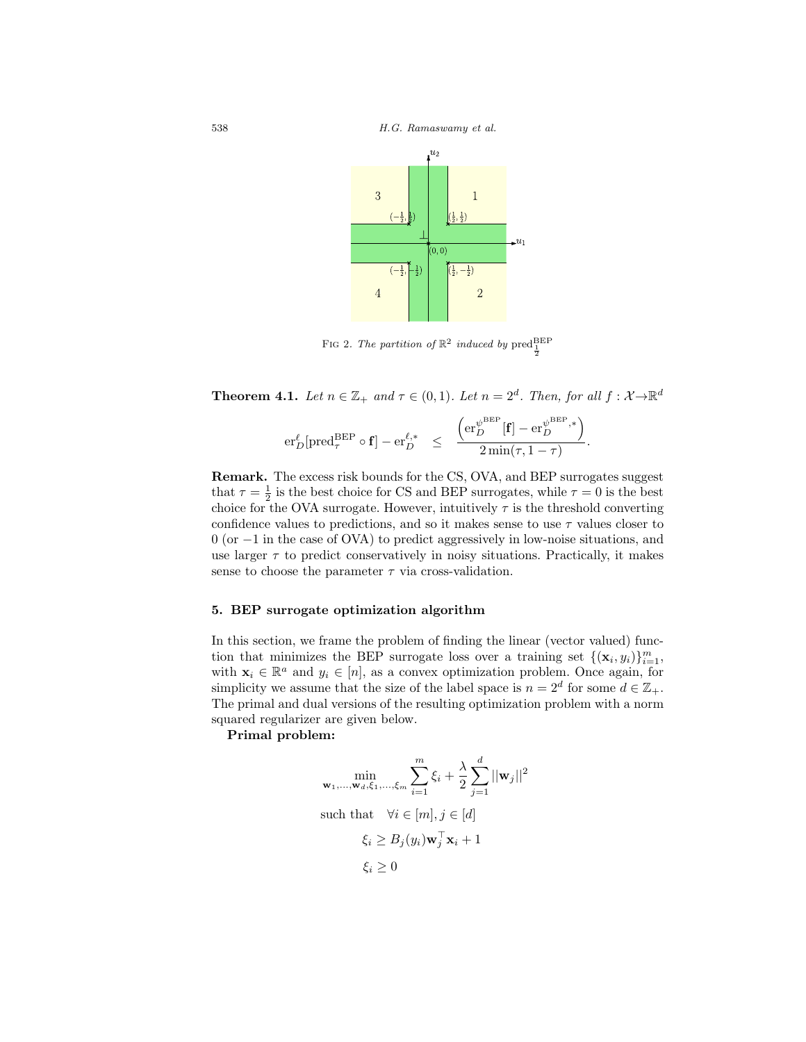

FIG 2. The partition of  $\mathbb{R}^2$  induced by  $\text{pred}_{\frac{1}{2}}^{\text{BEP}}$ 

**Theorem 4.1.** Let  $n \in \mathbb{Z}_+$  and  $\tau \in (0,1)$ . Let  $n = 2^d$ . Then, for all  $f : \mathcal{X} \rightarrow \mathbb{R}^d$ 

$$
\mathrm{er}_D^\ell[\mathrm{pred}_{\tau}^{\mathrm{BEP}}\circ \mathbf{f}] - \mathrm{er}_D^{\ell,*} \quad \leq \quad \frac{\left(\mathrm{er}_D^{\psi^{\mathrm{BEP}}}[\mathbf{f}] - \mathrm{er}_D^{\psi^{\mathrm{BEP}},*}\right)}{2\min(\tau,1-\tau)}.
$$

Remark. The excess risk bounds for the CS, OVA, and BEP surrogates suggest that  $\tau = \frac{1}{2}$  is the best choice for CS and BEP surrogates, while  $\tau = 0$  is the best choice for the OVA surrogate. However, intuitively  $\tau$  is the threshold converting confidence values to predictions, and so it makes sense to use  $\tau$  values closer to 0 (or −1 in the case of OVA) to predict aggressively in low-noise situations, and use larger  $\tau$  to predict conservatively in noisy situations. Practically, it makes sense to choose the parameter  $\tau$  via cross-validation.

### 5. BEP surrogate optimization algorithm

In this section, we frame the problem of finding the linear (vector valued) function that minimizes the BEP surrogate loss over a training set  $\{(\mathbf{x}_i, y_i)\}_{i=1}^m$ , with  $\mathbf{x}_i \in \mathbb{R}^a$  and  $y_i \in [n]$ , as a convex optimization problem. Once again, for simplicity we assume that the size of the label space is  $n = 2^d$  for some  $d \in \mathbb{Z}_+$ . The primal and dual versions of the resulting optimization problem with a norm squared regularizer are given below.

Primal problem:

$$
\min_{\mathbf{w}_1, \dots, \mathbf{w}_d, \xi_1, \dots, \xi_m} \sum_{i=1}^m \xi_i + \frac{\lambda}{2} \sum_{j=1}^d ||\mathbf{w}_j||^2
$$
\nsuch that

\n
$$
\forall i \in [m], j \in [d]
$$
\n
$$
\xi_i \ge B_j(y_i) \mathbf{w}_j^\top \mathbf{x}_i + 1
$$
\n
$$
\xi_i \ge 0
$$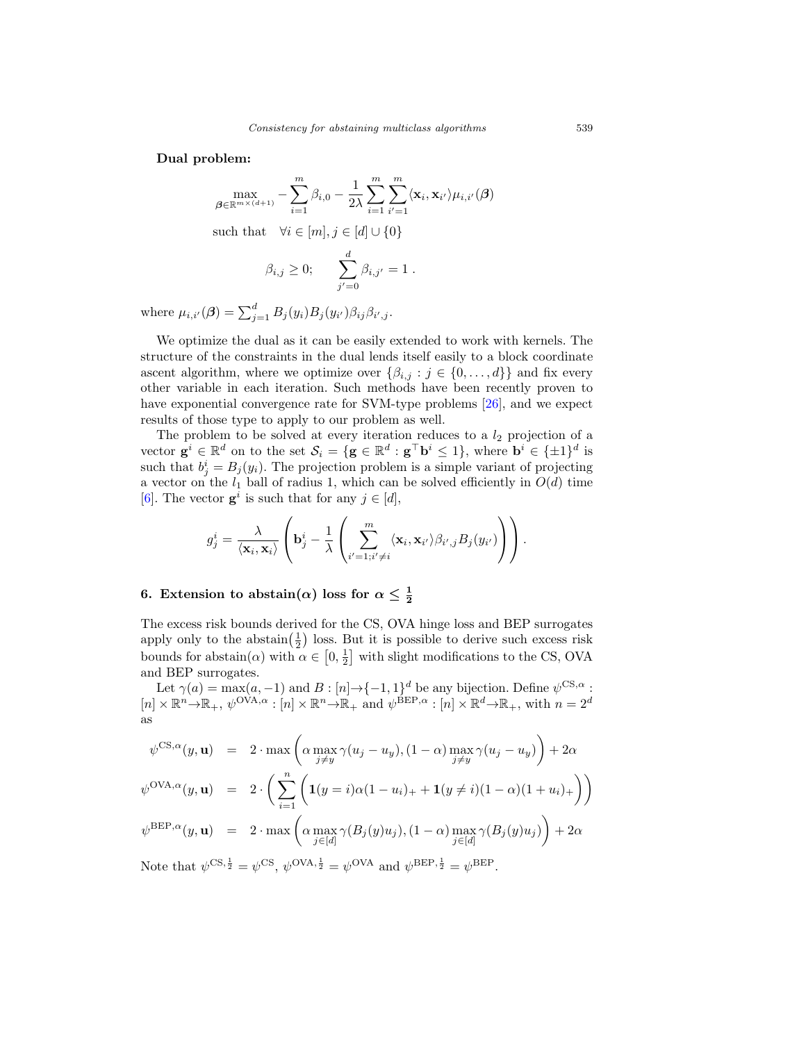Dual problem:

$$
\max_{\boldsymbol{\beta} \in \mathbb{R}^{m \times (d+1)}} - \sum_{i=1}^{m} \beta_{i,0} - \frac{1}{2\lambda} \sum_{i=1}^{m} \sum_{i'=1}^{m} \langle \mathbf{x}_i, \mathbf{x}_{i'} \rangle \mu_{i,i'}(\boldsymbol{\beta})
$$

such that  $\forall i \in [m], j \in [d] \cup \{0\}$ 

$$
\beta_{i,j} \geq 0;
$$
  $\sum_{j'=0}^d \beta_{i,j'} = 1.$ 

where  $\mu_{i,i'}(\boldsymbol{\beta}) = \sum_{j=1}^d B_j(y_i) B_j(y_{i'}) \beta_{ij} \beta_{i',j}$ .

We optimize the dual as it can be easily extended to work with kernels. The structure of the constraints in the dual lends itself easily to a block coordinate ascent algorithm, where we optimize over  $\{\beta_{i,j} : j \in \{0, \ldots, d\}\}\$  and fix every other variable in each iteration. Such methods have been recently proven to have exponential convergence rate for SVM-type problems [26], and we expect results of those type to apply to our problem as well.

The problem to be solved at every iteration reduces to a  $l_2$  projection of a vector  $\mathbf{g}^i \in \mathbb{R}^d$  on to the set  $\mathcal{S}_i = \{ \mathbf{g} \in \mathbb{R}^d : \mathbf{g}^\top \mathbf{b}^i \leq 1 \}$ , where  $\mathbf{b}^i \in \{ \pm 1\}^d$  is such that  $b_j^i = B_j(y_i)$ . The projection problem is a simple variant of projecting a vector on the  $l_1$  ball of radius 1, which can be solved efficiently in  $O(d)$  time [6]. The vector  $g^i$  is such that for any  $j \in [d]$ ,

$$
g_j^i = \frac{\lambda}{\langle \mathbf{x}_i, \mathbf{x}_i \rangle} \left( \mathbf{b}_j^i - \frac{1}{\lambda} \left( \sum_{i'=1; i'\neq i}^m \langle \mathbf{x}_i, \mathbf{x}_{i'} \rangle \beta_{i',j} B_j(y_{i'}) \right) \right).
$$

# 6. Extension to abstain( $\alpha$ ) loss for  $\alpha \leq \frac{1}{2}$

The excess risk bounds derived for the CS, OVA hinge loss and BEP surrogates apply only to the abstain $(\frac{1}{2})$  loss. But it is possible to derive such excess risk bounds for abstain( $\alpha$ ) with  $\alpha \in [0, \frac{1}{2}]$  with slight modifications to the CS, OVA and BEP surrogates.

Let  $\gamma(a) = \max(a, -1)$  and  $B : [n] \to \{-1, 1\}^d$  be any bijection. Define  $\psi^{\text{CS},\alpha}$ :  $[n] \times \mathbb{R}^n \rightarrow \mathbb{R}_+$ ,  $\psi^{OVA,\alpha} : [n] \times \mathbb{R}^n \rightarrow \mathbb{R}_+$  and  $\psi^{\text{BEP},\alpha} : [n] \times \mathbb{R}^d \rightarrow \mathbb{R}_+$ , with  $n = 2^d$ as

$$
\psi^{\text{CS},\alpha}(y,\mathbf{u}) = 2 \cdot \max \left( \alpha \max_{j \neq y} \gamma(u_j - u_y), (1 - \alpha) \max_{j \neq y} \gamma(u_j - u_y) \right) + 2\alpha
$$
  

$$
\psi^{\text{OVA},\alpha}(y,\mathbf{u}) = 2 \cdot \left( \sum_{i=1}^n \left( \mathbf{1}(y=i)\alpha(1-u_i)_+ + \mathbf{1}(y \neq i)(1-\alpha)(1+u_i)_+ \right) \right)
$$
  

$$
\psi^{\text{BEP},\alpha}(y,\mathbf{u}) = 2 \cdot \max \left( \alpha \max_{j \in [d]} \gamma(B_j(y)u_j), (1 - \alpha) \max_{j \in [d]} \gamma(B_j(y)u_j) \right) + 2\alpha
$$

Note that  $\psi^{\text{CS}, \frac{1}{2}} = \psi^{\text{CS}}, \psi^{\text{OVA}, \frac{1}{2}} = \psi^{\text{OVA}}$  and  $\psi^{\text{BEP}, \frac{1}{2}} = \psi^{\text{BEP}}$ .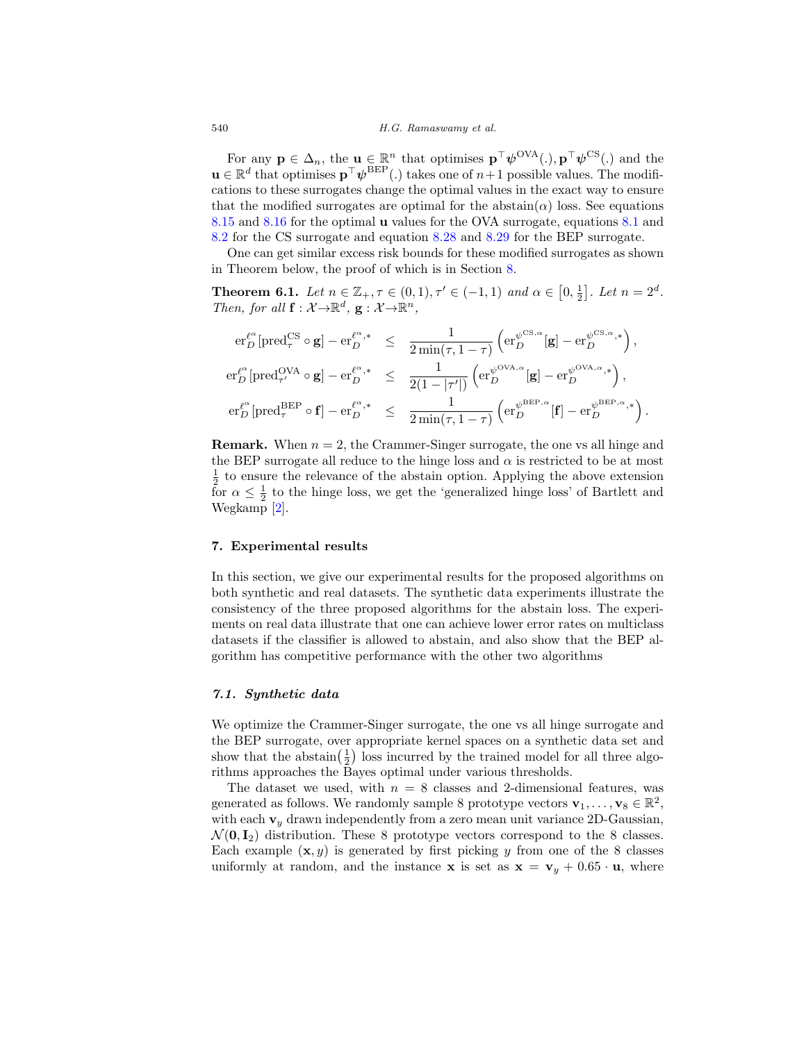For any  $\mathbf{p} \in \Delta_n$ , the  $\mathbf{u} \in \mathbb{R}^n$  that optimises  $\mathbf{p}^\top \psi^{\text{OVA}}(.)$ ,  $\mathbf{p}^\top \psi^{\text{CS}}(.)$  and the  $\mathbf{u} \in \mathbb{R}^d$  that optimises  $\mathbf{p}^\top \boldsymbol{\psi}^{\text{BEP}}$  (.) takes one of  $n+1$  possible values. The modifications to these surrogates change the optimal values in the exact way to ensure that the modified surrogates are optimal for the abstain( $\alpha$ ) loss. See equations 8.15 and 8.16 for the optimal u values for the OVA surrogate, equations 8.1 and 8.2 for the CS surrogate and equation 8.28 and 8.29 for the BEP surrogate.

One can get similar excess risk bounds for these modified surrogates as shown in Theorem below, the proof of which is in Section 8.

**Theorem 6.1.** Let  $n \in \mathbb{Z}_+$ ,  $\tau \in (0,1)$ ,  $\tau' \in (-1,1)$  and  $\alpha \in [0,\frac{1}{2}]$ . Let  $n = 2^d$ . Then, for all  $\mathbf{f} : \mathcal{X} \to \mathbb{R}^d$ ,  $\mathbf{g} : \mathcal{X} \to \mathbb{R}^n$ ,

$$
\begin{array}{rcl} \displaystyle \operatorname{er}_D^{\ell^{\alpha}}[\operatorname{pred}_{\tau}^{\mathrm{CS}\; \alpha}\circ \mathbf{g}] - \operatorname{er}_D^{\ell^{\alpha},*} & \leq & \displaystyle \frac{1}{2\min(\tau,1-\tau)}\left(\operatorname{er}_D^{\psi^{\mathrm{CS},\alpha}}[\mathbf{g}]-\operatorname{er}_D^{\psi^{\mathrm{CS},\alpha},*}\right), \\[10pt] \displaystyle \operatorname{er}_D^{\ell^{\alpha}}[\operatorname{pred}_{\tau'}^{\mathrm{OVA}}\circ \mathbf{g}] - \operatorname{er}_D^{\ell^{\alpha},*} & \leq & \displaystyle \frac{1}{2(1-|\tau'|)}\left(\operatorname{er}_D^{\psi^{\mathrm{OVA},\alpha}}[\mathbf{g}]-\operatorname{er}_D^{\psi^{\mathrm{OVA},\alpha},*}\right), \\[10pt] \displaystyle \operatorname{er}_D^{\ell^{\alpha}}[\operatorname{pred}_{\tau}^{\mathrm{BEP}}\circ \mathbf{f}] - \operatorname{er}_D^{\ell^{\alpha},*} & \leq & \displaystyle \frac{1}{2\min(\tau,1-\tau)}\left(\operatorname{er}_D^{\psi^{\mathrm{BEP},\alpha}}[\mathbf{f}]-\operatorname{er}_D^{\psi^{\mathrm{BEP},\alpha,*}}\right). \end{array}
$$

**Remark.** When  $n = 2$ , the Crammer-Singer surrogate, the one vs all hinge and the BEP surrogate all reduce to the hinge loss and  $\alpha$  is restricted to be at most  $\frac{1}{2}$  to ensure the relevance of the abstain option. Applying the above extension for  $\alpha \leq \frac{1}{2}$  to the hinge loss, we get the 'generalized hinge loss' of Bartlett and Wegkamp [2].

### 7. Experimental results

In this section, we give our experimental results for the proposed algorithms on both synthetic and real datasets. The synthetic data experiments illustrate the consistency of the three proposed algorithms for the abstain loss. The experiments on real data illustrate that one can achieve lower error rates on multiclass datasets if the classifier is allowed to abstain, and also show that the BEP algorithm has competitive performance with the other two algorithms

### 7.1. Synthetic data

We optimize the Crammer-Singer surrogate, the one vs all hinge surrogate and the BEP surrogate, over appropriate kernel spaces on a synthetic data set and show that the abstain $(\frac{1}{2})$  loss incurred by the trained model for all three algorithms approaches the Bayes optimal under various thresholds.

The dataset we used, with  $n = 8$  classes and 2-dimensional features, was generated as follows. We randomly sample 8 prototype vectors  $\mathbf{v}_1, \ldots, \mathbf{v}_8 \in \mathbb{R}^2$ , with each  $v_y$  drawn independently from a zero mean unit variance 2D-Gaussian,  $\mathcal{N}(\mathbf{0}, \mathbf{I}_2)$  distribution. These 8 prototype vectors correspond to the 8 classes. Each example  $(x, y)$  is generated by first picking y from one of the 8 classes uniformly at random, and the instance **x** is set as  $\mathbf{x} = \mathbf{v}_y + 0.65 \cdot \mathbf{u}$ , where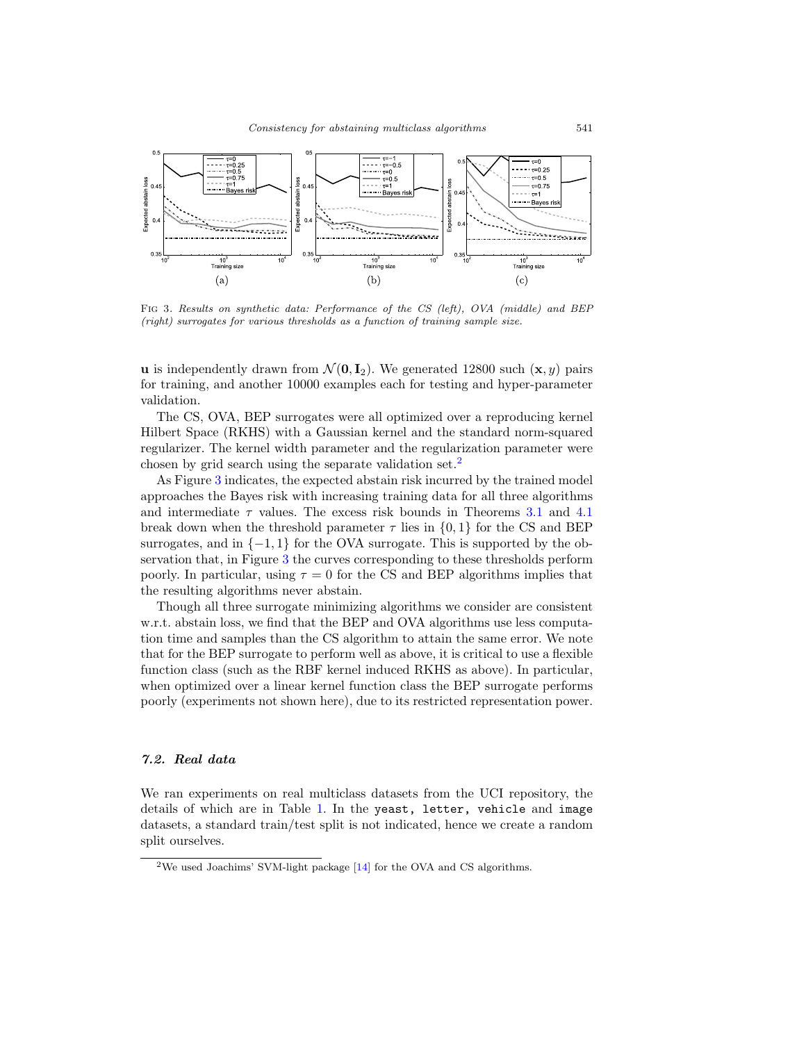

Fig 3. Results on synthetic data: Performance of the CS (left), OVA (middle) and BEP (right) surrogates for various thresholds as a function of training sample size.

**u** is independently drawn from  $\mathcal{N}(\mathbf{0}, \mathbf{I}_2)$ . We generated 12800 such  $(\mathbf{x}, y)$  pairs for training, and another 10000 examples each for testing and hyper-parameter validation.

The CS, OVA, BEP surrogates were all optimized over a reproducing kernel Hilbert Space (RKHS) with a Gaussian kernel and the standard norm-squared regularizer. The kernel width parameter and the regularization parameter were chosen by grid search using the separate validation set.<sup>2</sup>

As Figure 3 indicates, the expected abstain risk incurred by the trained model approaches the Bayes risk with increasing training data for all three algorithms and intermediate  $\tau$  values. The excess risk bounds in Theorems 3.1 and 4.1 break down when the threshold parameter  $\tau$  lies in  $\{0, 1\}$  for the CS and BEP surrogates, and in  $\{-1,1\}$  for the OVA surrogate. This is supported by the observation that, in Figure 3 the curves corresponding to these thresholds perform poorly. In particular, using  $\tau = 0$  for the CS and BEP algorithms implies that the resulting algorithms never abstain.

Though all three surrogate minimizing algorithms we consider are consistent w.r.t. abstain loss, we find that the BEP and OVA algorithms use less computation time and samples than the CS algorithm to attain the same error. We note that for the BEP surrogate to perform well as above, it is critical to use a flexible function class (such as the RBF kernel induced RKHS as above). In particular, when optimized over a linear kernel function class the BEP surrogate performs poorly (experiments not shown here), due to its restricted representation power.

## 7.2. Real data

We ran experiments on real multiclass datasets from the UCI repository, the details of which are in Table 1. In the yeast, letter, vehicle and image datasets, a standard train/test split is not indicated, hence we create a random split ourselves.

 $2$ We used Joachims' SVM-light package [14] for the OVA and CS algorithms.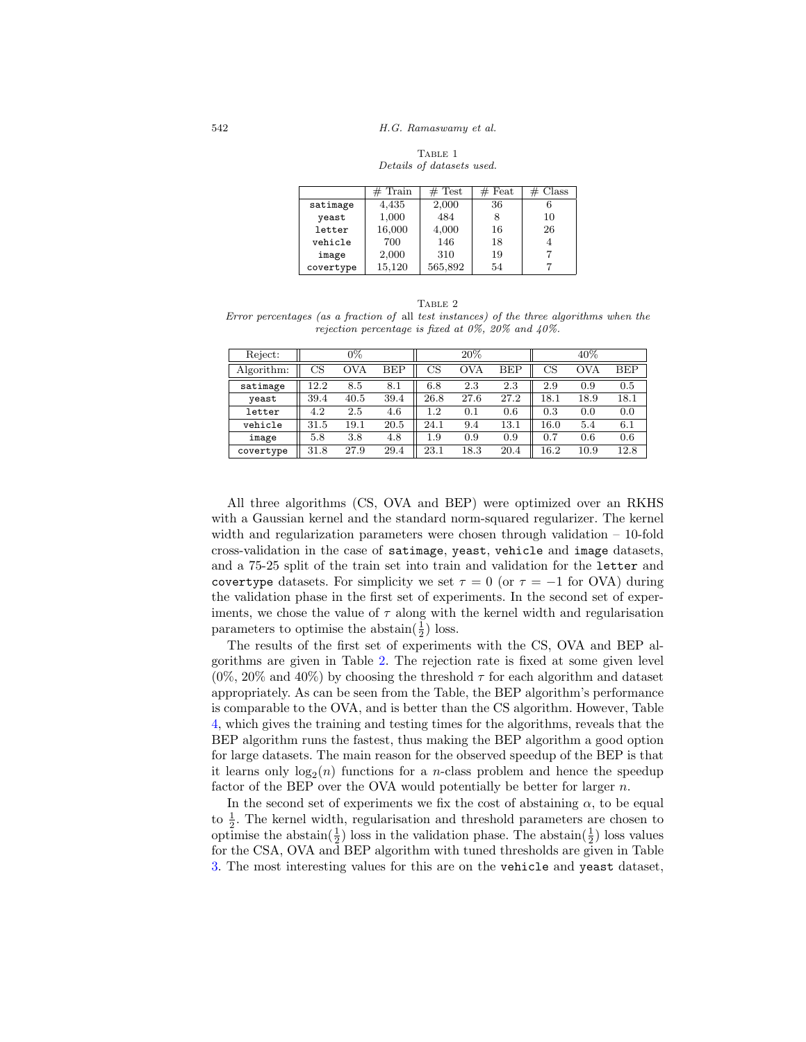542 H.G. Ramaswamy et al.

TABLE 1 Details of datasets used.

|           | $#$ Train | $#$ Test | $#$ Feat | Class |
|-----------|-----------|----------|----------|-------|
| satimage  | 4,435     | 2,000    | 36       |       |
| yeast     | 1,000     | 484      | 8        | 10    |
| letter    | 16,000    | 4,000    | 16       | 26    |
| vehicle   | 700       | 146      | 18       |       |
| image     | 2,000     | 310      | 19       |       |
| covertype | 15,120    | 565,892  | 54       |       |

TABLE 2

Error percentages (as a fraction of all test instances) of the three algorithms when the rejection percentage is fixed at 0%, 20% and 40%.

| Reject:    |      | $0\%$ |            |         | $20\%$     |            |          | 40%  |            |
|------------|------|-------|------------|---------|------------|------------|----------|------|------------|
| Algorithm: | CS   | OVA   | <b>BEP</b> | CS      | <b>OVA</b> | <b>BEP</b> | CS       | OVA  | <b>BEP</b> |
| satimage   | 12.2 | 8.5   | 8.1        | 6.8     | 2.3        | 2.3        | 2.9      | 0.9  | 0.5        |
| yeast      | 39.4 | 40.5  | 39.4       | 26.8    | 27.6       | 27.2       | 18.1     | 18.9 | $18.1\,$   |
| letter     | 4.2  | 2.5   | 4.6        | $1.2\,$ | 0.1        | 0.6        | 0.3      | 0.0  | 0.0        |
| vehicle    | 31.5 | 19.1  | 20.5       | 24.1    | 9.4        | $13.1\,$   | 16.0     | 5.4  | 6.1        |
| image      | 5.8  | 3.8   | 4.8        | 1.9     | 0.9        | 0.9        | 0.7      | 0.6  | 0.6        |
| covertype  | 31.8 | 27.9  | 29.4       | 23.1    | 18.3       | 20.4       | $16.2\,$ | 10.9 | 12.8       |

All three algorithms (CS, OVA and BEP) were optimized over an RKHS with a Gaussian kernel and the standard norm-squared regularizer. The kernel width and regularization parameters were chosen through validation – 10-fold cross-validation in the case of satimage, yeast, vehicle and image datasets, and a 75-25 split of the train set into train and validation for the letter and covertype datasets. For simplicity we set  $\tau = 0$  (or  $\tau = -1$  for OVA) during the validation phase in the first set of experiments. In the second set of experiments, we chose the value of  $\tau$  along with the kernel width and regularisation parameters to optimise the abstain $(\frac{1}{2})$  loss.

The results of the first set of experiments with the CS, OVA and BEP algorithms are given in Table 2. The rejection rate is fixed at some given level  $(0\%, 20\% \text{ and } 40\%)$  by choosing the threshold  $\tau$  for each algorithm and dataset appropriately. As can be seen from the Table, the BEP algorithm's performance is comparable to the OVA, and is better than the CS algorithm. However, Table 4, which gives the training and testing times for the algorithms, reveals that the BEP algorithm runs the fastest, thus making the BEP algorithm a good option for large datasets. The main reason for the observed speedup of the BEP is that it learns only  $log_2(n)$  functions for a *n*-class problem and hence the speedup factor of the BEP over the OVA would potentially be better for larger n.

In the second set of experiments we fix the cost of abstaining  $\alpha$ , to be equal to  $\frac{1}{2}$ . The kernel width, regularisation and threshold parameters are chosen to optimise the abstain( $\frac{1}{2}$ ) loss in the validation phase. The abstain( $\frac{1}{2}$ ) loss values for the CSA, OVA and BEP algorithm with tuned thresholds are given in Table 3. The most interesting values for this are on the vehicle and yeast dataset,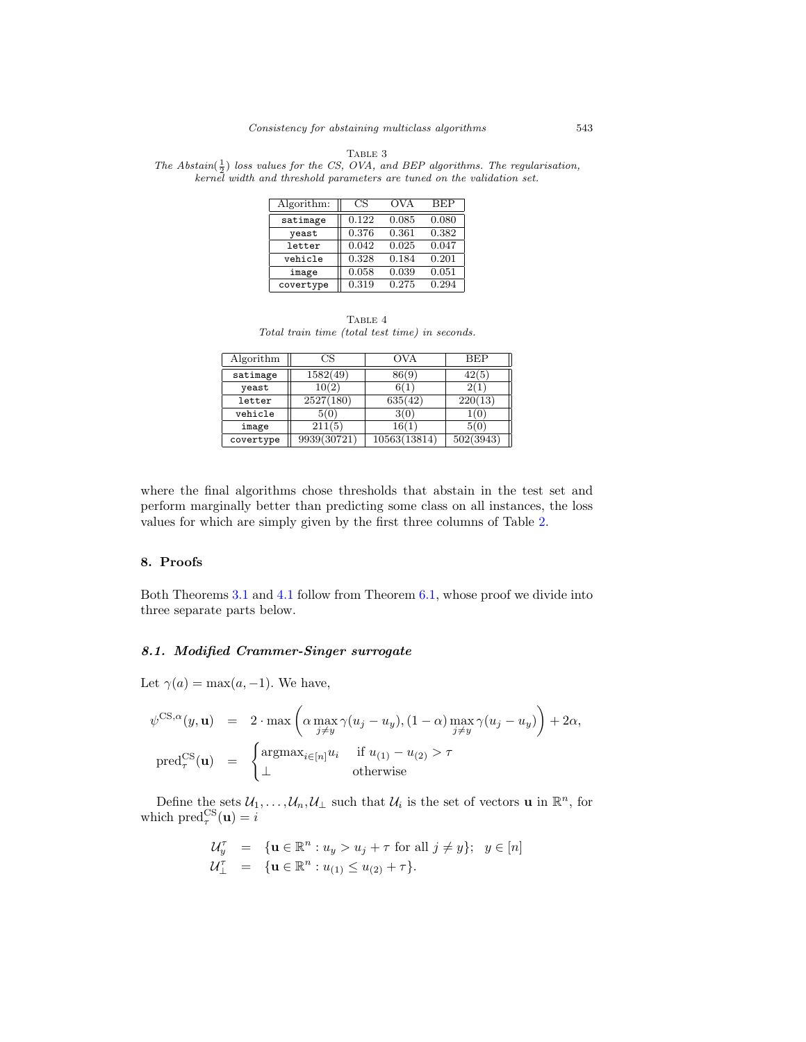|  | A RL |  |
|--|------|--|
|--|------|--|

The Abstain( $\frac{1}{2}$ ) loss values for the CS, OVA, and BEP algorithms. The regularisation, kernel width and threshold parameters are tuned on the validation set.

| Algorithm: | CS    | OVA   | <b>BEP</b> |
|------------|-------|-------|------------|
| satimage   | 0.122 | 0.085 | 0.080      |
| yeast      | 0.376 | 0.361 | 0.382      |
| letter     | 0.042 | 0.025 | 0.047      |
| vehicle    | 0.328 | 0.184 | 0.201      |
| image      | 0.058 | 0.039 | 0.051      |
| covertype  | 0.319 | 0.275 | 0.294      |

TABLE 4 Total train time (total test time) in seconds.

| Algorithm | ЗS          | OVA          | BEF       |
|-----------|-------------|--------------|-----------|
| satimage  | 1582(49)    | 86(9)        | 42(5      |
| yeast     | 10(2)       | 6(1          |           |
| letter    | 2527(180)   | 635(42)      | 220(13)   |
| vehicle   | 5(0)        | 3(0)         |           |
| image     | 211(5)      | 16(1         | 5(0       |
| covertype | 9939(30721) | 10563(13814) | 502(3943) |

where the final algorithms chose thresholds that abstain in the test set and perform marginally better than predicting some class on all instances, the loss values for which are simply given by the first three columns of Table 2.

### 8. Proofs

Both Theorems 3.1 and 4.1 follow from Theorem 6.1, whose proof we divide into three separate parts below.

# 8.1. Modified Crammer-Singer surrogate

Let  $\gamma(a) = \max(a, -1)$ . We have,

$$
\psi^{\text{CS},\alpha}(y,\mathbf{u}) = 2 \cdot \max \left( \alpha \max_{j \neq y} \gamma(u_j - u_y), (1 - \alpha) \max_{j \neq y} \gamma(u_j - u_y) \right) + 2\alpha,
$$
  
\n
$$
\text{pred}_{\tau}^{\text{CS}}(\mathbf{u}) = \begin{cases} \text{argmax}_{i \in [n]} u_i & \text{if } u_{(1)} - u_{(2)} > \tau \\ \bot & \text{otherwise} \end{cases}
$$

Define the sets  $\mathcal{U}_1,\ldots,\mathcal{U}_n,\mathcal{U}_\perp$  such that  $\mathcal{U}_i$  is the set of vectors **u** in  $\mathbb{R}^n$ , for which  $\text{pred}_{\tau}^{\text{CS}}(\mathbf{u}) = i$ 

$$
\begin{array}{rcl}\nU_y^{\tau} & = & \{ \mathbf{u} \in \mathbb{R}^n : u_y > u_j + \tau \text{ for all } j \neq y \}; \ \ y \in [n] \\
U_{\perp}^{\tau} & = & \{ \mathbf{u} \in \mathbb{R}^n : u_{(1)} \le u_{(2)} + \tau \}.\n\end{array}
$$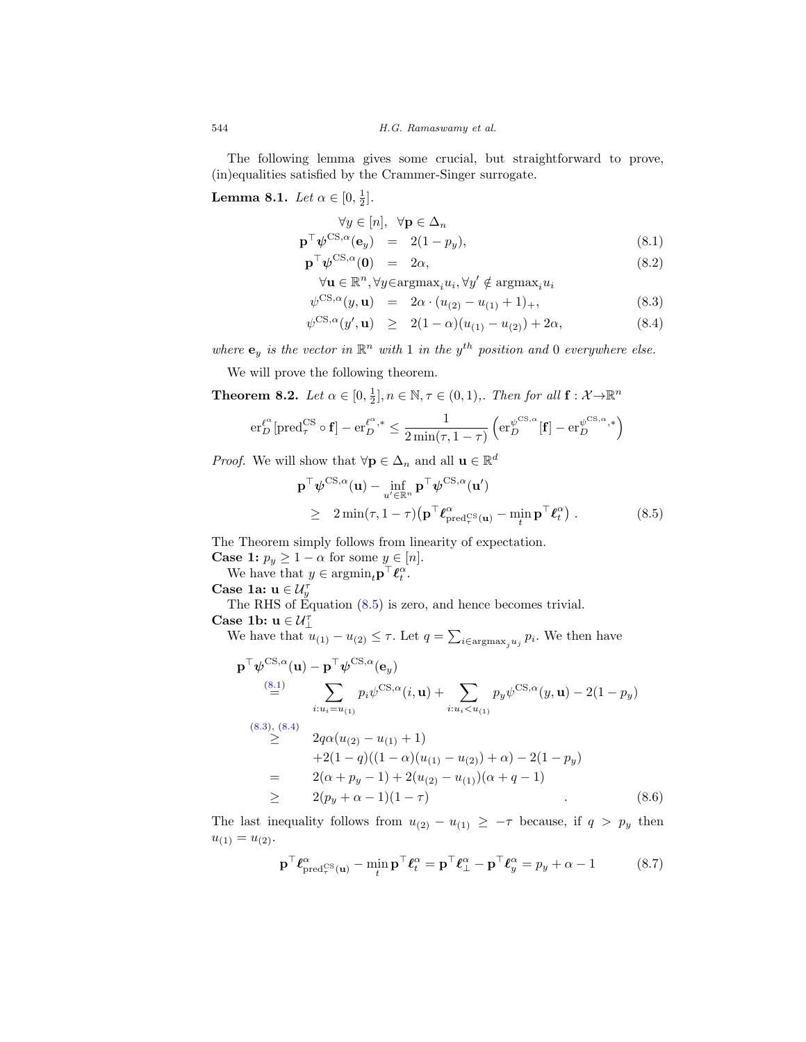The following lemma gives some crucial, but straightforward to prove, (in)equalities satisfied by the Crammer-Singer surrogate.

**Lemma 8.1.** Let  $\alpha \in [0, \frac{1}{2}]$ .

$$
\forall y \in [n], \ \forall \mathbf{p} \in \Delta_n
$$
  

$$
\mathbf{p}^\top \boldsymbol{\psi}^{\mathrm{CS},\alpha}(\mathbf{e}_y) = 2(1-p_y),
$$
 (8.1)

$$
\mathbf{p}^{\top}\boldsymbol{\psi}^{\mathrm{CS},\alpha}(\mathbf{0}) = 2\alpha, \tag{8.2}
$$

$$
\forall \mathbf{u} \in \mathbb{R}^n, \forall y \in \text{argmax}_i u_i, \forall y' \notin \text{argmax}_i u_i
$$

$$
\psi^{\text{CS},\alpha}(y,\mathbf{u}) = 2\alpha \cdot (u_{(2)} - u_{(1)} + 1)_+, \tag{8.3}
$$

$$
\psi^{\text{CS},\alpha}(y',\mathbf{u}) \geq 2(1-\alpha)(u_{(1)}-u_{(2)})+2\alpha, \tag{8.4}
$$

where  $\mathbf{e}_y$  is the vector in  $\mathbb{R}^n$  with 1 in the y<sup>th</sup> position and 0 everywhere else.

We will prove the following theorem.

**Theorem 8.2.** Let  $\alpha \in [0, \frac{1}{2}], n \in \mathbb{N}, \tau \in (0, 1)$ ,. Then for all  $\mathbf{f} : \mathcal{X} \to \mathbb{R}^n$ 

$$
\mathrm{er}_{D}^{\ell^{\alpha}}[\mathrm{pred}_{\tau}^{\mathrm{CS}} \circ \mathbf{f}] - \mathrm{er}_{D}^{\ell^{\alpha},*} \leq \frac{1}{2 \min(\tau, 1-\tau)} \left( \mathrm{er}_{D}^{\psi^{\mathrm{CS},\alpha}}[\mathbf{f}] - \mathrm{er}_{D}^{\psi^{\mathrm{CS},\alpha},*} \right)
$$

*Proof.* We will show that  $\forall \mathbf{p} \in \Delta_n$  and all  $\mathbf{u} \in \mathbb{R}^d$ 

$$
\mathbf{p}^{\top} \boldsymbol{\psi}^{\text{CS},\alpha}(\mathbf{u}) - \inf_{u' \in \mathbb{R}^n} \mathbf{p}^{\top} \boldsymbol{\psi}^{\text{CS},\alpha}(\mathbf{u}') \geq 2 \min(\tau, 1-\tau) \left( \mathbf{p}^{\top} \boldsymbol{\ell}_{\text{pred}_{\tau}^{\text{CS}}(\mathbf{u})}^{\alpha} - \min_{t} \mathbf{p}^{\top} \boldsymbol{\ell}_{t}^{\alpha} \right).
$$
\n(8.5)

The Theorem simply follows from linearity of expectation.

**Case 1:**  $p_y \ge 1 - \alpha$  for some  $y \in [n]$ .

We have that  $y \in \operatorname{argmin}_t \mathbf{p}^\top \boldsymbol{\ell}_t^{\alpha}$ .

Case 1a:  $\mathbf{u} \in \mathcal{U}_y^{\tau}$ 

The RHS of Equation (8.5) is zero, and hence becomes trivial. Case 1b:  $u \in \mathcal{U}_1^{\tau}$ 

We have that  $u_{(1)} - u_{(2)} \leq \tau$ . Let  $q = \sum_{i \in \text{argmax}_j u_j} p_i$ . We then have

$$
\mathbf{p}^{\top} \boldsymbol{\psi}^{\text{CS},\alpha}(\mathbf{u}) - \mathbf{p}^{\top} \boldsymbol{\psi}^{\text{CS},\alpha}(\mathbf{e}_{y})
$$
\n
$$
\stackrel{\text{(8.1)}}{=} \sum_{i:u_{i}=u_{(1)}} p_{i} \boldsymbol{\psi}^{\text{CS},\alpha}(i, \mathbf{u}) + \sum_{i:u_{i} < u_{(1)}} p_{y} \boldsymbol{\psi}^{\text{CS},\alpha}(y, \mathbf{u}) - 2(1 - p_{y})
$$
\n
$$
\stackrel{\text{(8.3)},\text{(8.4)}}{\geq} 2q\alpha(u_{(2)} - u_{(1)} + 1)
$$
\n
$$
+ 2(1 - q)((1 - \alpha)(u_{(1)} - u_{(2)}) + \alpha) - 2(1 - p_{y})
$$
\n
$$
= 2(\alpha + p_{y} - 1) + 2(u_{(2)} - u_{(1)})(\alpha + q - 1)
$$
\n
$$
\geq 2(p_{y} + \alpha - 1)(1 - \tau) \tag{8.6}
$$

The last inequality follows from  $u_{(2)} - u_{(1)} \ge -\tau$  because, if  $q > p_y$  then  $u_{(1)} = u_{(2)}$ .

$$
\mathbf{p}^{\top} \boldsymbol{\ell}_{\text{pred}_{\tau}^{\text{CS}}(\mathbf{u})}^{\alpha} - \min_{t} \mathbf{p}^{\top} \boldsymbol{\ell}_{t}^{\alpha} = \mathbf{p}^{\top} \boldsymbol{\ell}_{\perp}^{\alpha} - \mathbf{p}^{\top} \boldsymbol{\ell}_{y}^{\alpha} = p_{y} + \alpha - 1
$$
 (8.7)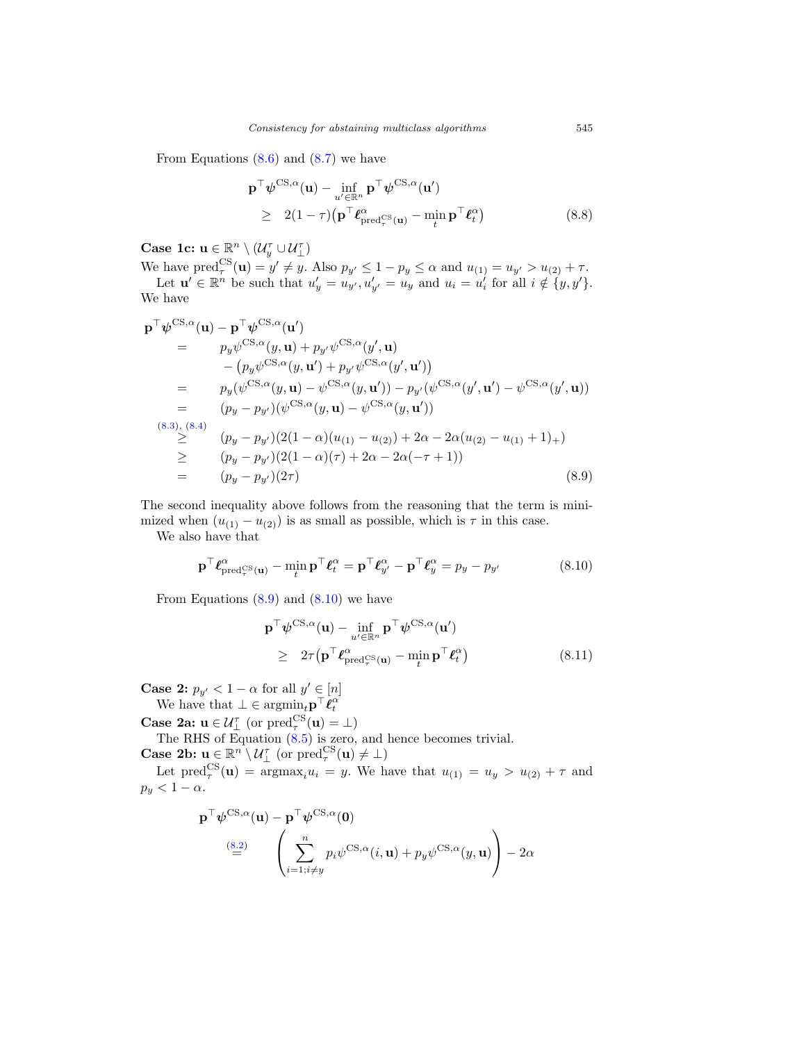From Equations  $(8.6)$  and  $(8.7)$  we have

$$
\mathbf{p}^{\top} \boldsymbol{\psi}^{\text{CS},\alpha}(\mathbf{u}) - \inf_{u' \in \mathbb{R}^n} \mathbf{p}^{\top} \boldsymbol{\psi}^{\text{CS},\alpha}(\mathbf{u}')
$$
\n
$$
\geq 2(1-\tau) \left( \mathbf{p}^{\top} \boldsymbol{\ell}_{\text{pred}_{\tau}^{\text{CS}}(\mathbf{u})}^{\alpha} - \min_{t} \mathbf{p}^{\top} \boldsymbol{\ell}_{t}^{\alpha} \right) \tag{8.8}
$$

Case 1c:  $\mathbf{u} \in \mathbb{R}^n \setminus (\mathcal{U}_y^{\tau} \cup \mathcal{U}_\perp^{\tau})$ 

We have  $\text{pred}_{\tau}^{\text{CS}}(\mathbf{u}) = y' \neq y$ . Also  $p_{y'} \leq 1 - p_y \leq \alpha$  and  $u_{(1)} = u_{y'} > u_{(2)} + \tau$ . Let  $\mathbf{u}' \in \mathbb{R}^n$  be such that  $u'_y = u_{y'}$ ,  $u'_{y'} = u_y$  and  $u_i = u'_i$  for all  $i \notin \{y, y'\}.$ We have

$$
\begin{split}\n\mathbf{p}^{\top}\psi^{\text{CS},\alpha}(\mathbf{u}) - \mathbf{p}^{\top}\psi^{\text{CS},\alpha}(\mathbf{u}') \\
&= p_y\psi^{\text{CS},\alpha}(y,\mathbf{u}) + p_{y'}\psi^{\text{CS},\alpha}(y',\mathbf{u}) \\
&- (p_y\psi^{\text{CS},\alpha}(y,\mathbf{u}') + p_{y'}\psi^{\text{CS},\alpha}(y',\mathbf{u}')) \\
&= p_y(\psi^{\text{CS},\alpha}(y,\mathbf{u}) - \psi^{\text{CS},\alpha}(y,\mathbf{u}')) - p_{y'}(\psi^{\text{CS},\alpha}(y',\mathbf{u}') - \psi^{\text{CS},\alpha}(y',\mathbf{u})) \\
&= (p_y - p_{y'})(\psi^{\text{CS},\alpha}(y,\mathbf{u}) - \psi^{\text{CS},\alpha}(y,\mathbf{u}')) \\
&\geq (p_y - p_{y'})(2(1-\alpha)(u_{(1)} - u_{(2)}) + 2\alpha - 2\alpha(u_{(2)} - u_{(1)} + 1)_+) \\
&\geq (p_y - p_{y'})(2(1-\alpha)(\tau) + 2\alpha - 2\alpha(-\tau + 1)) \\
&= (p_y - p_{y'})(2\tau)\n\end{split} \tag{8.9}
$$

The second inequality above follows from the reasoning that the term is minimized when  $(u_{(1)} - u_{(2)})$  is as small as possible, which is  $\tau$  in this case.

We also have that

$$
\mathbf{p}^{\top} \boldsymbol{\ell}_{\text{pred}_{\tau}^{\text{CS}}(\mathbf{u})}^{\alpha} - \min_{t} \mathbf{p}^{\top} \boldsymbol{\ell}_{t}^{\alpha} = \mathbf{p}^{\top} \boldsymbol{\ell}_{y'}^{\alpha} - \mathbf{p}^{\top} \boldsymbol{\ell}_{y}^{\alpha} = p_{y} - p_{y'}
$$
(8.10)

From Equations  $(8.9)$  and  $(8.10)$  we have

$$
\mathbf{p}^{\top} \boldsymbol{\psi}^{\text{CS},\alpha}(\mathbf{u}) - \inf_{u' \in \mathbb{R}^n} \mathbf{p}^{\top} \boldsymbol{\psi}^{\text{CS},\alpha}(\mathbf{u}') \geq 2\tau (\mathbf{p}^{\top} \boldsymbol{\ell}_{\text{pred}_{\tau}^{\text{CS}}(\mathbf{u})}^{\alpha} - \min_{t} \mathbf{p}^{\top} \boldsymbol{\ell}_{t}^{\alpha})
$$
\n(8.11)

**Case 2:**  $p_{y'} < 1 - \alpha$  for all  $y' \in [n]$ 

We have that  $\bot \in \operatorname{argmin}_t \mathbf{p}^\top \dot{\boldsymbol{\ell}}_t^{\alpha}$ 

**Case 2a:**  $\mathbf{u} \in \mathcal{U}^{\tau}_{\perp}$  (or  $\text{pred}_{\tau}^{\text{CS}}(\mathbf{u}) = \perp$ )

The RHS of Equation (8.5) is zero, and hence becomes trivial. **Case 2b:**  $\mathbf{u} \in \mathbb{R}^n \setminus \mathcal{U}_\perp^{\tau}$  (or  $\text{pred}_{\tau}^{\text{CS}}(\mathbf{u}) \neq \perp$ )

Let  $\text{pred}_{\tau}^{\text{CS}}(\mathbf{u}) = \text{argmax}_{i} u_i = y$ . We have that  $u_{(1)} = u_y > u_{(2)} + \tau$  and  $p_y < 1 - \alpha$ .

$$
\mathbf{p}^{\top} \boldsymbol{\psi}^{\text{CS},\alpha}(\mathbf{u}) - \mathbf{p}^{\top} \boldsymbol{\psi}^{\text{CS},\alpha}(\mathbf{0})
$$

$$
\stackrel{\text{(8.2)}}{=} \left( \sum_{i=1; i \neq y}^{n} p_i \boldsymbol{\psi}^{\text{CS},\alpha}(i, \mathbf{u}) + p_y \boldsymbol{\psi}^{\text{CS},\alpha}(y, \mathbf{u}) \right) - 2\alpha
$$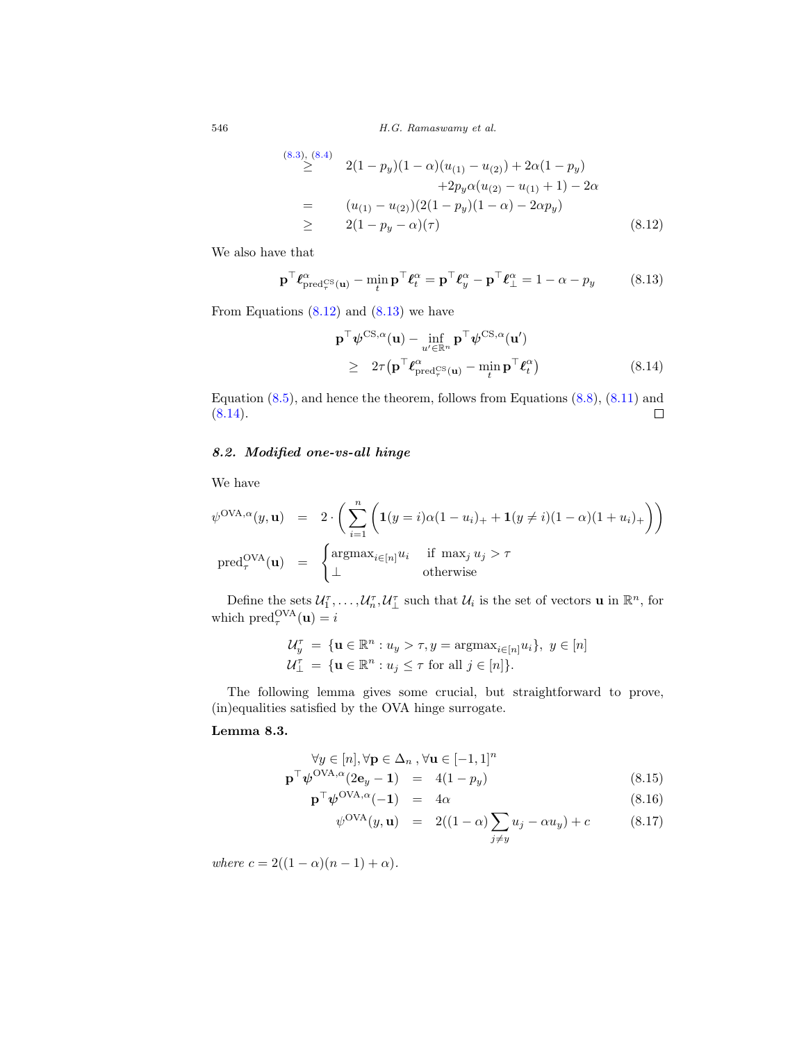(8.3), (8.4)  
\n
$$
\geq 2(1 - p_y)(1 - \alpha)(u_{(1)} - u_{(2)}) + 2\alpha(1 - p_y) + 2p_y\alpha(u_{(2)} - u_{(1)} + 1) - 2\alpha
$$
\n
$$
= (u_{(1)} - u_{(2)})(2(1 - p_y)(1 - \alpha) - 2\alpha p_y) \geq 2(1 - p_y - \alpha)(\tau) \tag{8.12}
$$

We also have that

$$
\mathbf{p}^{\top} \boldsymbol{\ell}_{\text{pred}_{\tau}^{\text{CS}}(\mathbf{u})}^{\alpha} - \min_{t} \mathbf{p}^{\top} \boldsymbol{\ell}_{t}^{\alpha} = \mathbf{p}^{\top} \boldsymbol{\ell}_{y}^{\alpha} - \mathbf{p}^{\top} \boldsymbol{\ell}_{\perp}^{\alpha} = 1 - \alpha - p_{y}
$$
 (8.13)

From Equations  $(8.12)$  and  $(8.13)$  we have

$$
\mathbf{p}^{\top} \boldsymbol{\psi}^{\text{CS},\alpha}(\mathbf{u}) - \inf_{u' \in \mathbb{R}^n} \mathbf{p}^{\top} \boldsymbol{\psi}^{\text{CS},\alpha}(\mathbf{u}')
$$
\n
$$
\geq 2\tau (\mathbf{p}^{\top} \boldsymbol{\ell}_{\text{pred}_{\tau}^{\text{CS}}(\mathbf{u})}^{\alpha} - \min_{t} \mathbf{p}^{\top} \boldsymbol{\ell}_{t}^{\alpha})
$$
\n(8.14)

Equation  $(8.5)$ , and hence the theorem, follows from Equations  $(8.8)$ ,  $(8.11)$  and  $(8.14).$  $\Box$ 

# 8.2. Modified one-vs-all hinge

We have

$$
\psi^{\text{OVA},\alpha}(y,\mathbf{u}) = 2 \cdot \left( \sum_{i=1}^{n} \left( \mathbf{1}(y=i)\alpha(1-u_i)_+ + \mathbf{1}(y\neq i)(1-\alpha)(1+u_i)_+ \right) \right)
$$
  
pred<sub>\tau</sub><sup>OVA</sup>( $\mathbf{u}$ ) = 
$$
\begin{cases} \text{argmax}_{i \in [n]} u_i & \text{if } \max_j u_j > \tau \\ \bot & \text{otherwise} \end{cases}
$$

Define the sets  $\mathcal{U}_1^{\tau}, \ldots, \mathcal{U}_n^{\tau}, \mathcal{U}_\perp^{\tau}$  such that  $\mathcal{U}_i$  is the set of vectors **u** in  $\mathbb{R}^n$ , for which  $pred_{\tau}^{\text{OVA}}(\mathbf{u}) = i$ 

$$
\begin{aligned} \mathcal{U}_y^\tau \; &= \; \{ \mathbf{u} \in \mathbb{R}^n : u_y > \tau, y = \operatorname{argmax}_{i \in [n]} u_i \}, \ y \in [n] \\ \mathcal{U}_\perp^\tau \; &= \; \{ \mathbf{u} \in \mathbb{R}^n : u_j \leq \tau \text{ for all } j \in [n] \}. \end{aligned}
$$

The following lemma gives some crucial, but straightforward to prove, (in)equalities satisfied by the OVA hinge surrogate.

# Lemma 8.3.

$$
\forall y \in [n], \forall \mathbf{p} \in \Delta_n, \forall \mathbf{u} \in [-1, 1]^n
$$
  

$$
\mathbf{p}^\top \boldsymbol{\psi}^{\text{OVA}, \alpha} (2\mathbf{e}_y - 1) = 4(1 - p_y)
$$
 (8.15)

$$
\mathbf{p}^{\top}\boldsymbol{\psi}^{\text{OVA},\alpha}(-1) = 4\alpha \tag{8.16}
$$

$$
\psi^{\text{OVA}}(y, \mathbf{u}) = 2((1 - \alpha) \sum_{j \neq y} u_j - \alpha u_y) + c \qquad (8.17)
$$

where  $c = 2((1 - \alpha)(n - 1) + \alpha)$ .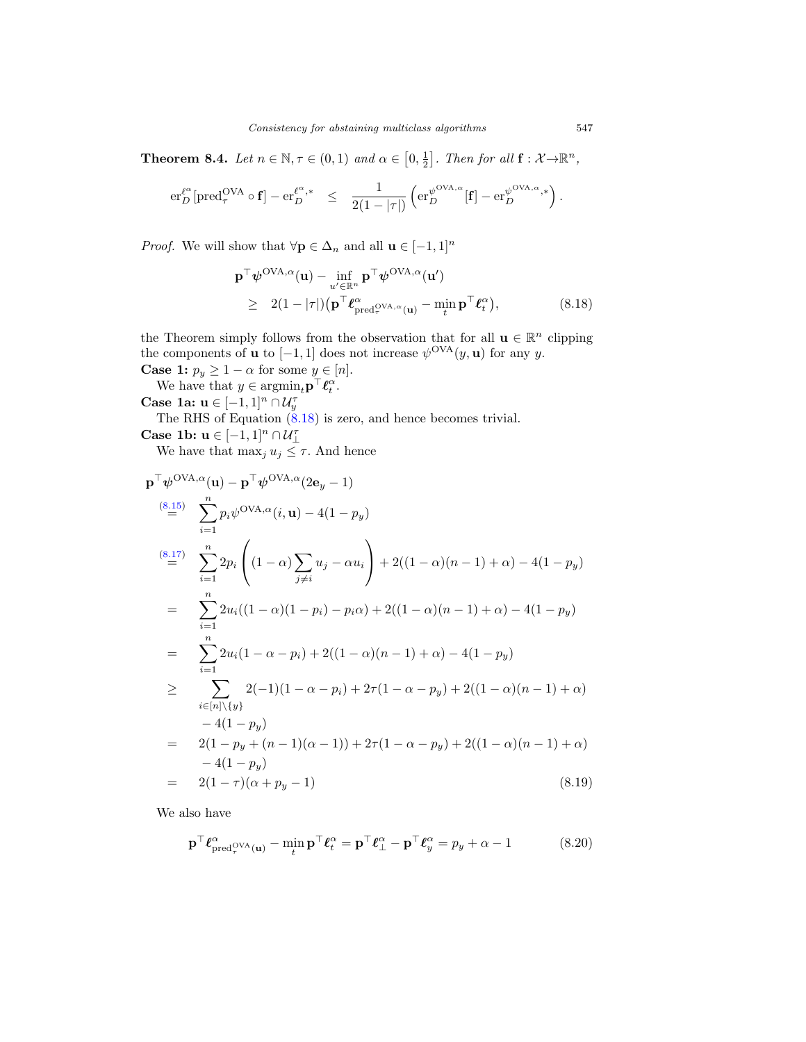**Theorem 8.4.** Let  $n \in \mathbb{N}, \tau \in (0,1)$  and  $\alpha \in [0, \frac{1}{2}]$ . Then for all  $\mathbf{f} : \mathcal{X} \to \mathbb{R}^n$ ,

$$
\mathrm{er}_{D}^{\ell^{\alpha}}[\mathrm{pred}_{\tau}^{\mathrm{OVA}} \circ \mathbf{f}] - \mathrm{er}_{D}^{\ell^{\alpha},*} \quad \leq \quad \frac{1}{2(1-|\tau|)} \left( \mathrm{er}_{D}^{\psi^{\mathrm{OVA},\alpha}}[\mathbf{f}] - \mathrm{er}_{D}^{\psi^{\mathrm{OVA},\alpha,*}} \right).
$$

*Proof.* We will show that  $\forall \mathbf{p} \in \Delta_n$  and all  $\mathbf{u} \in [-1, 1]^n$ 

$$
\mathbf{p}^{\top} \boldsymbol{\psi}^{\text{OVA}, \alpha}(\mathbf{u}) - \inf_{u' \in \mathbb{R}^n} \mathbf{p}^{\top} \boldsymbol{\psi}^{\text{OVA}, \alpha}(\mathbf{u}') \geq 2(1 - |\tau|) \left( \mathbf{p}^{\top} \boldsymbol{\ell}_{\text{pred}_{\tau}}^{\alpha} \mathrm{OVA}, \alpha_{(\mathbf{u})} - \min_{t} \mathbf{p}^{\top} \boldsymbol{\ell}_{t}^{\alpha} \right),
$$
\n(8.18)

the Theorem simply follows from the observation that for all  $\mathbf{u} \in \mathbb{R}^n$  clipping the components of **u** to  $[-1, 1]$  does not increase  $\psi^{OVA}(y, \mathbf{u})$  for any y.

**Case 1:**  $p_y \ge 1 - \alpha$  for some  $y \in [n]$ .

We have that  $y \in \operatorname{argmin}_{t} \mathbf{p}^{\top} \boldsymbol{\ell}_{t}^{\alpha}$ .

Case 1a:  $\mathbf{u} \in [-1,1]^n \cap \mathcal{U}_y^{\tau}$ 

The RHS of Equation  $(8.18)$  is zero, and hence becomes trivial.

Case 1b:  $\mathbf{u} \in [-1,1]^n \cap \mathcal{U}_\perp^\tau$ We have that  $\max_j u_j \leq \tau$ . And hence

$$
\mathbf{p}^{\top} \boldsymbol{\psi}^{\text{OVA}, \alpha}(\mathbf{u}) - \mathbf{p}^{\top} \boldsymbol{\psi}^{\text{OVA}, \alpha} (2\mathbf{e}_{y} - 1)
$$
\n
$$
\stackrel{(8.15)}{=} \sum_{i=1}^{n} p_{i} \boldsymbol{\psi}^{\text{OVA}, \alpha} (i, \mathbf{u}) - 4(1 - p_{y})
$$
\n
$$
\stackrel{(8.17)}{=} \sum_{i=1}^{n} 2p_{i} \left( (1 - \alpha) \sum_{j \neq i} u_{j} - \alpha u_{i} \right) + 2((1 - \alpha)(n - 1) + \alpha) - 4(1 - p_{y})
$$
\n
$$
= \sum_{i=1}^{n} 2u_{i}((1 - \alpha)(1 - p_{i}) - p_{i}\alpha) + 2((1 - \alpha)(n - 1) + \alpha) - 4(1 - p_{y})
$$
\n
$$
= \sum_{i=1}^{n} 2u_{i}(1 - \alpha - p_{i}) + 2((1 - \alpha)(n - 1) + \alpha) - 4(1 - p_{y})
$$
\n
$$
\geq \sum_{i \in [n] \setminus \{y\}} 2(-1)(1 - \alpha - p_{i}) + 2\tau(1 - \alpha - p_{y}) + 2((1 - \alpha)(n - 1) + \alpha)
$$
\n
$$
- 4(1 - p_{y})
$$
\n
$$
= 2(1 - p_{y} + (n - 1)(\alpha - 1)) + 2\tau(1 - \alpha - p_{y}) + 2((1 - \alpha)(n - 1) + \alpha)
$$
\n
$$
- 4(1 - p_{y})
$$
\n
$$
= 2(1 - \tau)(\alpha + p_{y} - 1)
$$
\n(8.19)

We also have

$$
\mathbf{p}^{\top} \boldsymbol{\ell}_{\text{pred}_{\tau}^{\text{OVA}}(\mathbf{u})}^{\alpha} - \min_{t} \mathbf{p}^{\top} \boldsymbol{\ell}_{t}^{\alpha} = \mathbf{p}^{\top} \boldsymbol{\ell}_{\perp}^{\alpha} - \mathbf{p}^{\top} \boldsymbol{\ell}_{y}^{\alpha} = p_{y} + \alpha - 1
$$
 (8.20)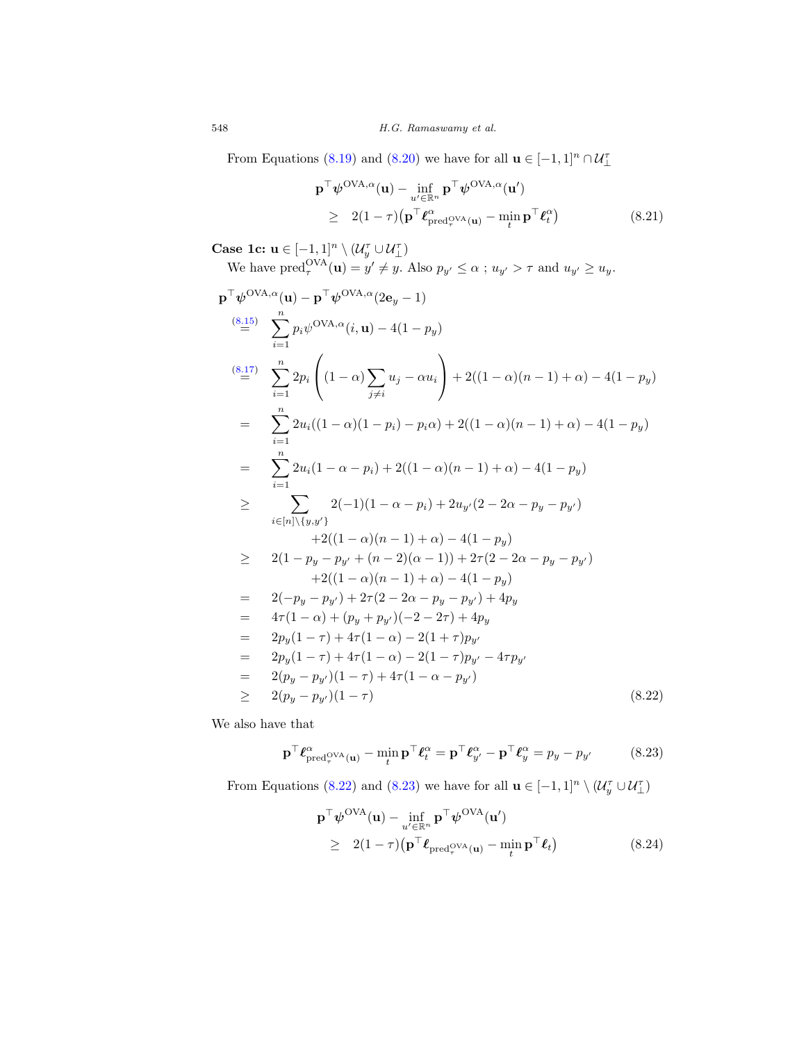From Equations (8.19) and (8.20) we have for all  $\mathbf{u} \in [-1,1]^n \cap \mathcal{U}_{\perp}^{\tau}$ 

$$
\mathbf{p}^{\top} \boldsymbol{\psi}^{\text{OVA}, \alpha}(\mathbf{u}) - \inf_{u' \in \mathbb{R}^n} \mathbf{p}^{\top} \boldsymbol{\psi}^{\text{OVA}, \alpha}(\mathbf{u'})
$$
\n
$$
\geq 2(1 - \tau) \left( \mathbf{p}^{\top} \boldsymbol{\ell}_{\text{pred}_\tau^{\text{OVA}}(\mathbf{u})}^{\alpha} - \min_{t} \mathbf{p}^{\top} \boldsymbol{\ell}_t^{\alpha} \right) \tag{8.21}
$$

Case 1c:  $\mathbf{u} \in [-1,1]^n \setminus (\mathcal{U}_y^{\tau} \cup \mathcal{U}_\perp^{\tau})$ 

We have 
$$
\text{pred}_{\tau}^{\text{OVA}}(\mathbf{u}) = y' \neq y
$$
. Also  $p_{y'} \leq \alpha$ ;  $u_{y'} > \tau$  and  $u_{y'} \geq u_y$ .

$$
\mathbf{p}^{\top}\psi^{\text{OVA},\alpha}(\mathbf{u}) - \mathbf{p}^{\top}\psi^{\text{OVA},\alpha}(2\mathbf{e}_{y}-1)
$$
\n
$$
\stackrel{(8.15)}{=} \sum_{i=1}^{n} p_{i}\psi^{\text{OVA},\alpha}(i,\mathbf{u}) - 4(1-p_{y})
$$
\n
$$
\stackrel{(8.17)}{=} \sum_{i=1}^{n} 2p_{i} \left( (1-\alpha)\sum_{j\neq i} u_{j} - \alpha u_{i} \right) + 2((1-\alpha)(n-1)+\alpha) - 4(1-p_{y})
$$
\n
$$
= \sum_{i=1}^{n} 2u_{i}((1-\alpha)(1-p_{i}) - p_{i}\alpha) + 2((1-\alpha)(n-1)+\alpha) - 4(1-p_{y})
$$
\n
$$
= \sum_{i=1}^{n} 2u_{i}(1-\alpha-p_{i}) + 2((1-\alpha)(n-1)+\alpha) - 4(1-p_{y})
$$
\n
$$
\geq \sum_{i\in[n]\setminus\{y,y'\}} 2(-1)(1-\alpha-p_{i}) + 2u_{y'}(2-2\alpha-p_{y}-p_{y'})
$$
\n
$$
+ 2((1-\alpha)(n-1)+\alpha) - 4(1-p_{y})
$$
\n
$$
\geq 2(1-p_{y}-p_{y'}+(n-2)(\alpha-1)) + 2\tau(2-2\alpha-p_{y}-p_{y'})
$$
\n
$$
+ 2((1-\alpha)(n-1)+\alpha) - 4(1-p_{y})
$$
\n
$$
= 2(-p_{y}-p_{y'}) + 2\tau(2-2\alpha-p_{y}-p_{y'}) + 4p_{y}
$$
\n
$$
= 4\tau(1-\alpha) + (p_{y}+p_{y'})(-2-2\tau) + 4p_{y}
$$
\n
$$
= 2p_{y}(1-\tau) + 4\tau(1-\alpha) - 2(1-\tau)p_{y'} - 4\tau p_{y'}
$$
\n
$$
= 2(p_{y}-p_{y'})(1-\tau) + 4\tau(1-\alpha-p_{y'})
$$
\n(8.22)

We also have that

$$
\mathbf{p}^{\top} \boldsymbol{\ell}_{\text{pred}_{\tau}^{\text{OVA}}(\mathbf{u})}^{\alpha} - \min_{t} \mathbf{p}^{\top} \boldsymbol{\ell}_{t}^{\alpha} = \mathbf{p}^{\top} \boldsymbol{\ell}_{y'}^{\alpha} - \mathbf{p}^{\top} \boldsymbol{\ell}_{y}^{\alpha} = p_{y} - p_{y'}
$$
 (8.23)

From Equations (8.22) and (8.23) we have for all  $\mathbf{u} \in [-1,1]^n \setminus (\mathcal{U}_y^{\tau} \cup \mathcal{U}_\perp^{\tau})$ 

$$
\mathbf{p}^{\top} \boldsymbol{\psi}^{\text{OVA}}(\mathbf{u}) - \inf_{u' \in \mathbb{R}^n} \mathbf{p}^{\top} \boldsymbol{\psi}^{\text{OVA}}(\mathbf{u'})
$$
\n
$$
\geq 2(1-\tau) \left( \mathbf{p}^{\top} \boldsymbol{\ell}_{\text{pred}_{\tau}^{\text{OVA}}(\mathbf{u})} - \min_{t} \mathbf{p}^{\top} \boldsymbol{\ell}_{t} \right) \tag{8.24}
$$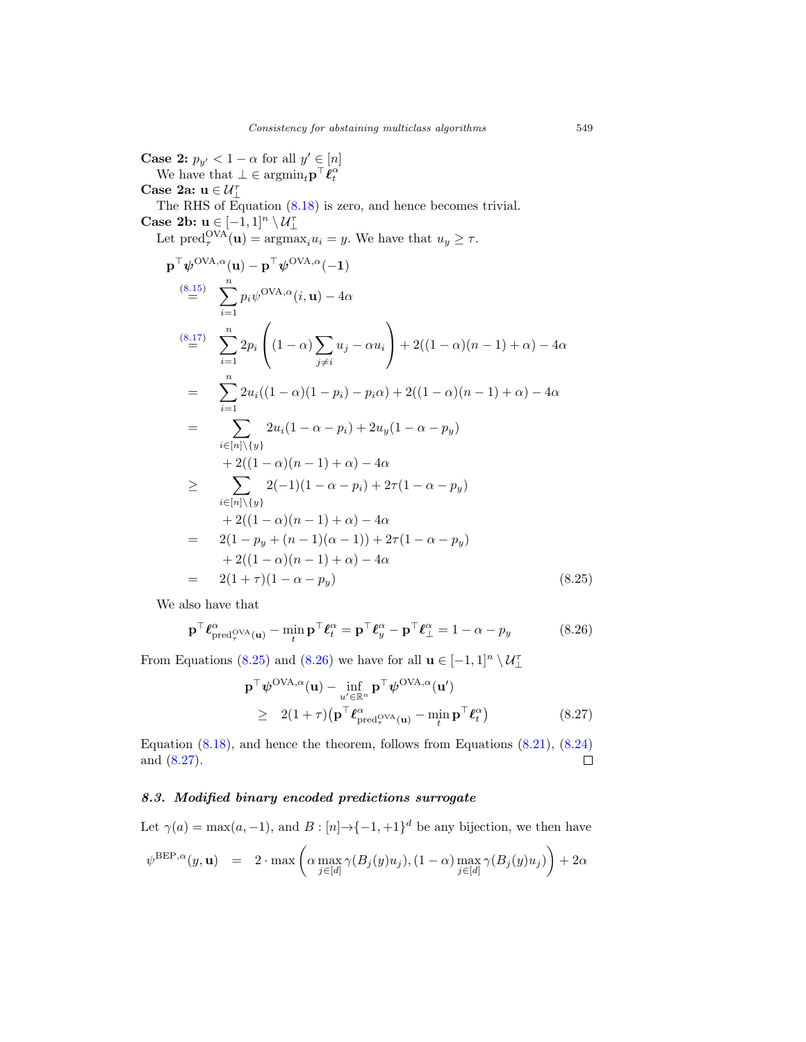**Case 2:**  $p_{y'} < 1 - \alpha$  for all  $y' \in [n]$ We have that  $\bot \in \operatorname{argmin}_t \mathbf{p}^\top \dot{\boldsymbol{\ell}}_t^{\alpha}$ Case 2a: $\mathbf{u}\in\mathcal{U}_\perp^\tau$ The RHS of Equation (8.18) is zero, and hence becomes trivial. Case 2b:  $\mathbf{u} \in [-1,1]^n \setminus \mathcal{U}_{\perp}^{\tau}$ Let  $\text{pred}_{\tau}^{\text{OVA}}(\mathbf{u}) = \text{argmax}_{i} u_i = y$ . We have that  $u_y \geq \tau$ .  $\mathbf{p}^\top \boldsymbol{\psi}^{\text{OVA},\alpha}(\mathbf{u}) - \mathbf{p}^\top \boldsymbol{\psi}^{\text{OVA},\alpha}(-1)$ (8.15)  $\sum_{i=1}^{n} p_i \psi^{\text{OVA},\alpha}(i, \mathbf{u}) - 4\alpha$  $i=1$  $\sum_{n=1}^{(8.17)}$  $i=1$  $2p_i$  $\sqrt{2}$  $(1 - \alpha) \sum_{n=1}^{\infty}$  $j\neq i$  $u_j - \alpha u_i$ ⎞  $\int +2((1-\alpha)(n-1)+\alpha)-4\alpha$  $=$   $\sum_{n=1}^{n}$  $i=1$  $2u_i((1 - \alpha)(1 - p_i) - p_i\alpha) + 2((1 - \alpha)(n - 1) + \alpha) - 4\alpha$  $=$   $\sum$  $i \in [n] \backslash \{y\}$  $2u_i(1 - \alpha - p_i) + 2u_y(1 - \alpha - p_y)$ + 2((1 –  $\alpha$ )(n – 1) +  $\alpha$ ) – 4 $\alpha$ ≥ ∑  $i \in [n] \backslash \{y\}$  $2(-1)(1 - \alpha - p_i) + 2\tau(1 - \alpha - p_y)$  $+ 2((1 - \alpha)(n - 1) + \alpha) - 4\alpha$  $= 2(1 - p_y + (n - 1)(\alpha - 1)) + 2\tau(1 - \alpha - p_y)$  $+ 2((1 - \alpha)(n - 1) + \alpha) - 4\alpha$  $= 2(1+\tau)(1-\alpha-p_y)$  (8.25)

We also have that

$$
\mathbf{p}^{\top} \boldsymbol{\ell}_{\text{pred}_{\tau}^{\text{OVA}}(\mathbf{u})}^{\alpha} - \min_{t} \mathbf{p}^{\top} \boldsymbol{\ell}_{t}^{\alpha} = \mathbf{p}^{\top} \boldsymbol{\ell}_{y}^{\alpha} - \mathbf{p}^{\top} \boldsymbol{\ell}_{\perp}^{\alpha} = 1 - \alpha - p_{y}
$$
(8.26)

From Equations (8.25) and (8.26) we have for all  $\mathbf{u} \in [-1,1]^n \setminus \mathcal{U}_{\perp}^{\tau}$ 

$$
\mathbf{p}^{\top} \boldsymbol{\psi}^{\text{OVA}, \alpha}(\mathbf{u}) - \inf_{u' \in \mathbb{R}^n} \mathbf{p}^{\top} \boldsymbol{\psi}^{\text{OVA}, \alpha}(\mathbf{u'})
$$
\n
$$
\geq 2(1+\tau) \left( \mathbf{p}^{\top} \boldsymbol{\ell}_{\text{pred}_{\tau}^{\text{OVA}}(\mathbf{u})}^{\alpha} - \min_{t} \mathbf{p}^{\top} \boldsymbol{\ell}_{t}^{\alpha} \right) \tag{8.27}
$$

Equation (8.18), and hence the theorem, follows from Equations (8.21), (8.24) and (8.27). □

### 8.3. Modified binary encoded predictions surrogate

Let  $\gamma(a) = \max(a, -1)$ , and  $B : [n] \to \{-1, +1\}^d$  be any bijection, we then have

$$
\psi^{\text{BEP},\alpha}(y,\mathbf{u})\quad =\quad 2\cdot \max\left(\alpha \max_{j\in[d]}\gamma(B_j(y)u_j),(1-\alpha)\max_{j\in[d]}\gamma(B_j(y)u_j)\right)+2\alpha
$$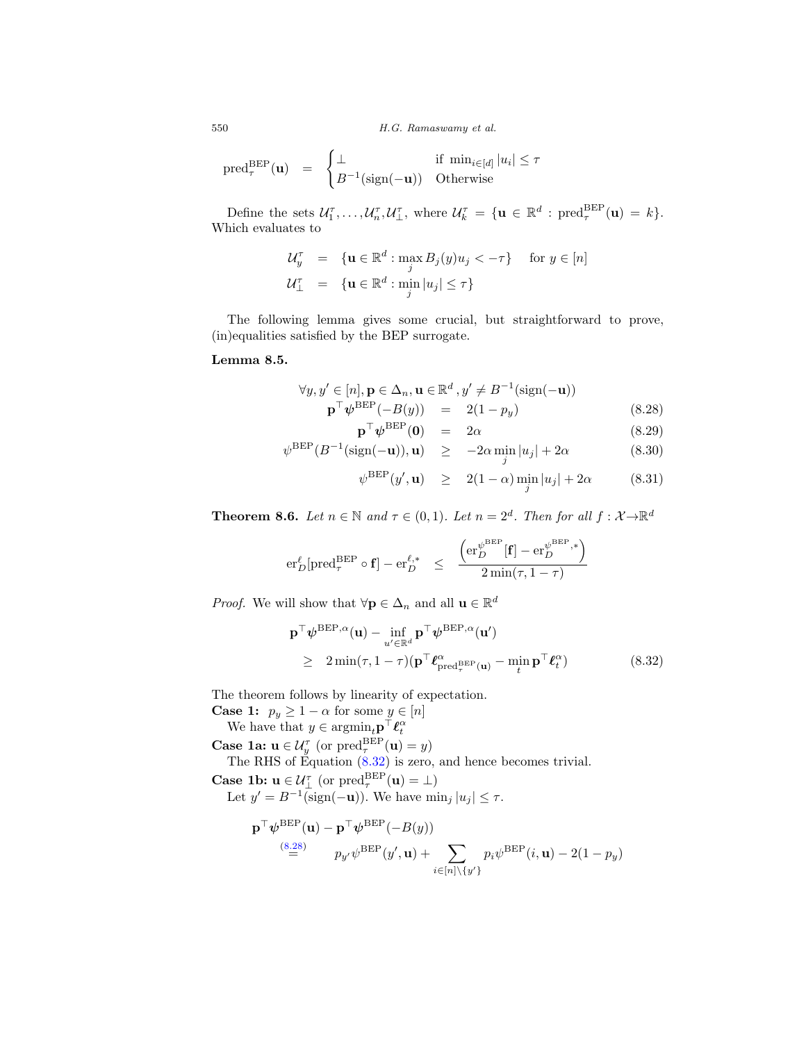$$
\mathrm{pred}_{\tau}^{\mathrm{BEP}}(\mathbf{u}) = \begin{cases} \perp & \text{if } \min_{i \in [d]} |u_i| \leq \tau \\ B^{-1}(\mathrm{sign}(-\mathbf{u})) & \text{Otherwise} \end{cases}
$$

Define the sets  $\mathcal{U}_1^{\tau}, \ldots, \mathcal{U}_n^{\tau}, \mathcal{U}_\perp^{\tau}$ , where  $\mathcal{U}_k^{\tau} = {\mathbf{u} \in \mathbb{R}^d : \text{pred}_{\tau}^{\text{BEP}}(\mathbf{u}) = k}.$ Which evaluates to

$$
\mathcal{U}_y^{\tau} = \{ \mathbf{u} \in \mathbb{R}^d : \max_j B_j(y) u_j < -\tau \} \quad \text{for } y \in [n]
$$
  

$$
\mathcal{U}_{\perp}^{\tau} = \{ \mathbf{u} \in \mathbb{R}^d : \min_j |u_j| \le \tau \}
$$

The following lemma gives some crucial, but straightforward to prove, (in)equalities satisfied by the BEP surrogate.

### Lemma 8.5.

$$
\forall y, y' \in [n], \mathbf{p} \in \Delta_n, \mathbf{u} \in \mathbb{R}^d, y' \neq B^{-1}(\text{sign}(-\mathbf{u}))
$$
  
\n
$$
\mathbf{p}^\top \boldsymbol{\psi}^{\text{BEP}}(-B(y)) = 2(1 - p_y)
$$
 (8.28)  
\n
$$
\mathbf{p}^\top \boldsymbol{\psi}^{\text{BEP}}(\mathbf{0}) = 2\alpha
$$
 (8.29)

$$
\psi^{\text{BEP}}(B^{-1}(\text{sign}(-\mathbf{u})), \mathbf{u}) \quad \geq \quad -2\alpha \min_{j}|u_j| + 2\alpha \tag{8.30}
$$

$$
\psi^{\text{BEP}}(y', \mathbf{u}) \ge 2(1 - \alpha) \min_{j} |u_j| + 2\alpha \quad (8.31)
$$

**Theorem 8.6.** Let  $n \in \mathbb{N}$  and  $\tau \in (0,1)$ . Let  $n = 2^d$ . Then for all  $f: \mathcal{X} \rightarrow \mathbb{R}^d$ 

$$
\mathrm{er}_D^\ell[\mathrm{pred}_{\tau}^{\mathrm{BEP}}\circ \mathbf{f}] - \mathrm{er}_D^{\ell,*} \quad \leq \quad \frac{\left(\mathrm{er}_D^{\psi^{\mathrm{BEP}}}[\mathbf{f}] - \mathrm{er}_D^{\psi^{\mathrm{BEP}},*}\right)}{2\min(\tau,1-\tau)}
$$

*Proof.* We will show that  $\forall \mathbf{p} \in \Delta_n$  and all  $\mathbf{u} \in \mathbb{R}^d$ 

$$
\mathbf{p}^{\top} \boldsymbol{\psi}^{\text{BEP},\alpha}(\mathbf{u}) - \inf_{u' \in \mathbb{R}^d} \mathbf{p}^{\top} \boldsymbol{\psi}^{\text{BEP},\alpha}(\mathbf{u}') \geq 2 \min(\tau, 1-\tau) (\mathbf{p}^{\top} \boldsymbol{\ell}_{\text{pred}_{\tau}^{\text{BEP}}(\mathbf{u})}^{\alpha} - \min_{t} \mathbf{p}^{\top} \boldsymbol{\ell}_{t}^{\alpha})
$$
\n(8.32)

The theorem follows by linearity of expectation.

**Case 1:**  $p_y \ge 1 - \alpha$  for some  $y \in [n]$ 

We have that  $y \in \operatorname{argmin}_t \mathbf{p}^\top \boldsymbol{\ell}_t^{\alpha}$ 

**Case 1a:**  $\mathbf{u} \in \mathcal{U}_{y}^{\tau}$  (or  $\text{pred}_{\tau}^{\text{BEP}}(\mathbf{u}) = y$ )

The RHS of Equation (8.32) is zero, and hence becomes trivial.

**Case 1b:**  $\mathbf{u} \in \mathcal{U}_{\perp}^{\tau}$  (or  $\text{pred}_{\tau}^{\text{BEP}}(\mathbf{u}) = \perp$ )

Let  $y' = B^{-1}(\text{sign}(-\mathbf{u}))$ . We have  $\min_j |u_j| \leq \tau$ .

$$
\mathbf{p}^{\top} \boldsymbol{\psi}^{\text{BEP}}(\mathbf{u}) - \mathbf{p}^{\top} \boldsymbol{\psi}^{\text{BEP}}(-B(y))
$$
  
\n
$$
\stackrel{(8.28)}{=} p_{y'} \boldsymbol{\psi}^{\text{BEP}}(y', \mathbf{u}) + \sum_{i \in [n] \setminus \{y'\}} p_i \boldsymbol{\psi}^{\text{BEP}}(i, \mathbf{u}) - 2(1 - p_y)
$$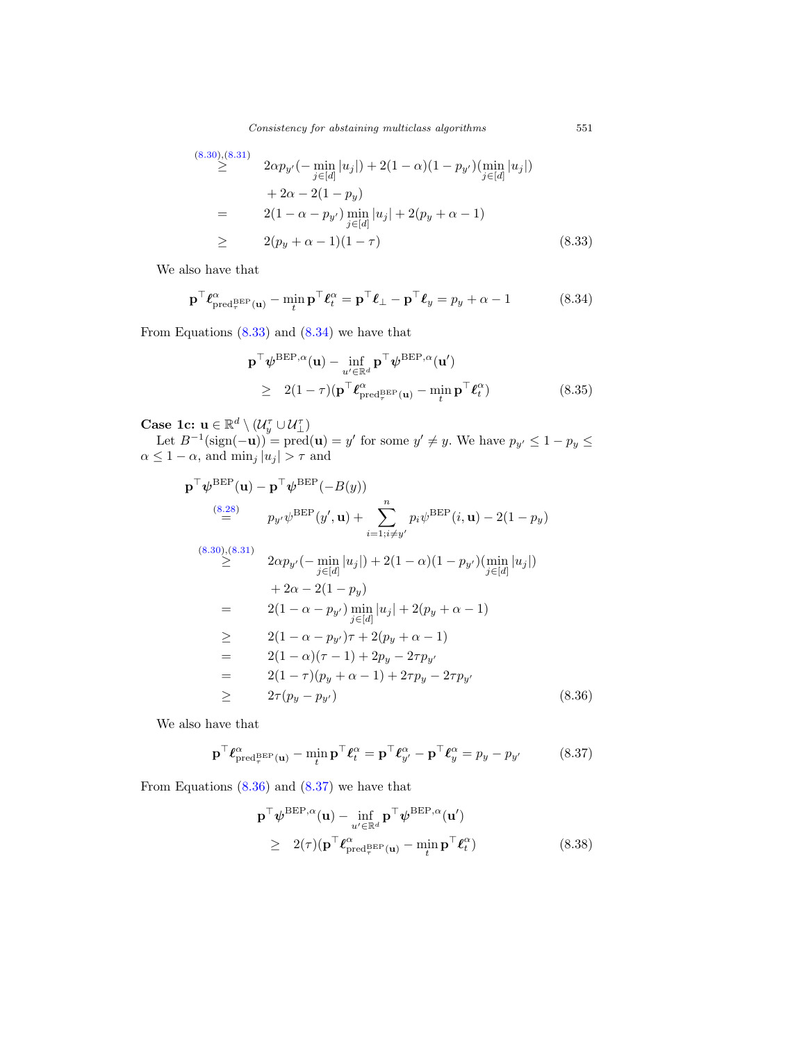Consistency for abstaining multiclass algorithms 551

$$
(8.30),(8.31)
$$
\n
$$
\geq 2\alpha p_{y'}(-\min_{j\in[d]}|u_j|) + 2(1-\alpha)(1-p_{y'})(\min_{j\in[d]}|u_j|)
$$
\n
$$
+ 2\alpha - 2(1-p_y)
$$
\n
$$
= 2(1-\alpha-p_{y'})\min_{j\in[d]}|u_j| + 2(p_y+\alpha-1)
$$
\n
$$
\geq 2(p_y+\alpha-1)(1-\tau) \qquad (8.33)
$$

We also have that

$$
\mathbf{p}^{\top} \boldsymbol{\ell}_{\text{pred}_{\tau}^{\text{BEP}}(\mathbf{u})}^{\alpha} - \min_{t} \mathbf{p}^{\top} \boldsymbol{\ell}_{t}^{\alpha} = \mathbf{p}^{\top} \boldsymbol{\ell}_{\perp} - \mathbf{p}^{\top} \boldsymbol{\ell}_{y} = p_{y} + \alpha - 1
$$
 (8.34)

From Equations  $(8.33)$  and  $(8.34)$  we have that

$$
\mathbf{p}^{\top} \boldsymbol{\psi}^{\text{BEP},\alpha}(\mathbf{u}) - \inf_{u' \in \mathbb{R}^d} \mathbf{p}^{\top} \boldsymbol{\psi}^{\text{BEP},\alpha}(\mathbf{u}')
$$
\n
$$
\geq 2(1-\tau) (\mathbf{p}^{\top} \boldsymbol{\ell}_{\text{pred}_{\tau}^{\text{BEP}}(\mathbf{u})}^{\alpha} - \min_{t} \mathbf{p}^{\top} \boldsymbol{\ell}_{t}^{\alpha})
$$
\n(8.35)

Case 1c:  $\mathbf{u} \in \mathbb{R}^d \setminus (\mathcal{U}_y^{\tau} \cup \mathcal{U}_\perp^{\tau})$ 

Let  $B^{-1}(\text{sign}(-\mathbf{u}))$  = pred $(\mathbf{u}) = y'$  for some  $y' \neq y$ . We have  $p_{y'} \leq 1 - p_y \leq y'$  $\alpha \leq 1 - \alpha$ , and  $\min_j |u_j| > \tau$  and

$$
\mathbf{p}^{\top} \boldsymbol{\psi}^{\text{BEP}}(\mathbf{u}) - \mathbf{p}^{\top} \boldsymbol{\psi}^{\text{BEP}}(-B(y))
$$
\n
$$
\stackrel{(8.28)}{=} p_{y'} \psi^{\text{BEP}}(y', \mathbf{u}) + \sum_{i=1; i \neq y'}^{n} p_i \psi^{\text{BEP}}(i, \mathbf{u}) - 2(1 - p_y)
$$
\n
$$
\stackrel{(8.30),(8.31)}{\geq} 2\alpha p_{y'}(-\min_{j \in [d]} |u_j|) + 2(1 - \alpha)(1 - p_{y'}) (\min_{j \in [d]} |u_j|)
$$
\n
$$
+ 2\alpha - 2(1 - p_y)
$$
\n
$$
= 2(1 - \alpha - p_{y'}) \min_{j \in [d]} |u_j| + 2(p_y + \alpha - 1)
$$
\n
$$
\geq 2(1 - \alpha - p_{y'}) \tau + 2(p_y + \alpha - 1)
$$
\n
$$
= 2(1 - \alpha)(\tau - 1) + 2p_y - 2\tau p_{y'}
$$
\n
$$
= 2(1 - \tau)(p_y + \alpha - 1) + 2\tau p_y - 2\tau p_{y'}
$$
\n
$$
\geq 2\tau(p_y - p_{y'}) \qquad (8.36)
$$

We also have that

$$
\mathbf{p}^{\top} \boldsymbol{\ell}_{\text{pred}_{\tau}^{\text{BEP}}(\mathbf{u})}^{\alpha} - \min_{t} \mathbf{p}^{\top} \boldsymbol{\ell}_{t}^{\alpha} = \mathbf{p}^{\top} \boldsymbol{\ell}_{y'}^{\alpha} - \mathbf{p}^{\top} \boldsymbol{\ell}_{y}^{\alpha} = p_{y} - p_{y'}
$$
(8.37)

From Equations  $(8.36)$  and  $(8.37)$  we have that

$$
\mathbf{p}^{\top} \boldsymbol{\psi}^{\text{BEP},\alpha}(\mathbf{u}) - \inf_{u' \in \mathbb{R}^d} \mathbf{p}^{\top} \boldsymbol{\psi}^{\text{BEP},\alpha}(\mathbf{u'})
$$
\n
$$
\geq 2(\tau) (\mathbf{p}^{\top} \boldsymbol{\ell}_{\text{pred}_{\tau}^{\text{BEP}}(\mathbf{u})}^{\alpha} - \min_{t} \mathbf{p}^{\top} \boldsymbol{\ell}_{t}^{\alpha})
$$
\n(8.38)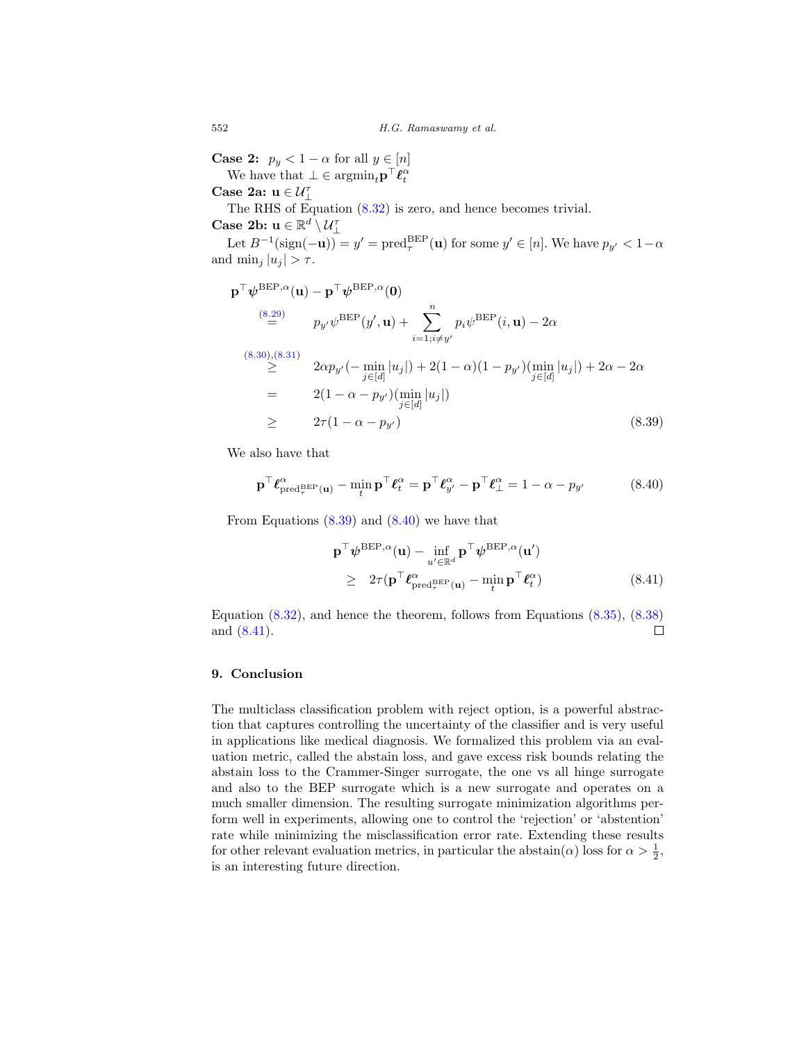**Case 2:**  $p_y < 1 - \alpha$  for all  $y \in [n]$ 

We have that  $\bot \in \operatorname{argmin}_{t} \mathbf{p}^{\top} \boldsymbol{\ell}_{t}^{\alpha}$ 

Case 2a:  $\mathbf{u} \in \mathcal{U}^{\tau}_{\perp}$ 

The RHS of Equation (8.32) is zero, and hence becomes trivial.

Case 2b:  $\mathbf{u} \in \mathbb{R}^d \setminus \mathcal{U}_1^{\tau}$ 

Let  $B^{-1}(\text{sign}(-\mathbf{u})) = y' = \text{pred}_{\tau}^{BEP}(\mathbf{u})$  for some  $y' \in [n]$ . We have  $p_{y'} < 1-\alpha$ and  $\min_i |u_i| > \tau$ .

$$
\mathbf{p}^{\top} \boldsymbol{\psi}^{\text{BEP},\alpha}(\mathbf{u}) - \mathbf{p}^{\top} \boldsymbol{\psi}^{\text{BEP},\alpha}(\mathbf{0})
$$
\n
$$
\stackrel{(8.29)}{=} p_{y'} \boldsymbol{\psi}^{\text{BEP}}(y', \mathbf{u}) + \sum_{i=1; i \neq y'}^{n} p_i \boldsymbol{\psi}^{\text{BEP}}(i, \mathbf{u}) - 2\alpha
$$
\n
$$
\stackrel{(8.30),(8.31)}{\geq} 2\alpha p_{y'}(-\min_{j \in [d]} |u_j|) + 2(1 - \alpha)(1 - p_{y'}) (\min_{j \in [d]} |u_j|) + 2\alpha - 2\alpha
$$
\n
$$
= 2(1 - \alpha - p_{y'}) (\min_{j \in [d]} |u_j|)
$$
\n
$$
\geq 2\tau (1 - \alpha - p_{y'}) \qquad (8.39)
$$

We also have that

$$
\mathbf{p}^{\top} \boldsymbol{\ell}_{\text{pred}_{\tau}^{\text{BEP}}(\mathbf{u})}^{\alpha} - \min_{t} \mathbf{p}^{\top} \boldsymbol{\ell}_{t}^{\alpha} = \mathbf{p}^{\top} \boldsymbol{\ell}_{y'}^{\alpha} - \mathbf{p}^{\top} \boldsymbol{\ell}_{\perp}^{\alpha} = 1 - \alpha - p_{y'}
$$
(8.40)

From Equations (8.39) and (8.40) we have that

$$
\mathbf{p}^{\top} \boldsymbol{\psi}^{\text{BEP},\alpha}(\mathbf{u}) - \inf_{u' \in \mathbb{R}^d} \mathbf{p}^{\top} \boldsymbol{\psi}^{\text{BEP},\alpha}(\mathbf{u'})
$$
\n
$$
\geq 2\tau (\mathbf{p}^{\top} \boldsymbol{\ell}_{\text{pred}_{\tau}^{\text{BEP}}(\mathbf{u})}^{\alpha} - \min_{t} \mathbf{p}^{\top} \boldsymbol{\ell}_{t}^{\alpha})
$$
\n(8.41)

Equation (8.32), and hence the theorem, follows from Equations (8.35), (8.38) and (8.41).  $\Box$ 

### 9. Conclusion

The multiclass classification problem with reject option, is a powerful abstraction that captures controlling the uncertainty of the classifier and is very useful in applications like medical diagnosis. We formalized this problem via an evaluation metric, called the abstain loss, and gave excess risk bounds relating the abstain loss to the Crammer-Singer surrogate, the one vs all hinge surrogate and also to the BEP surrogate which is a new surrogate and operates on a much smaller dimension. The resulting surrogate minimization algorithms perform well in experiments, allowing one to control the 'rejection' or 'abstention' rate while minimizing the misclassification error rate. Extending these results for other relevant evaluation metrics, in particular the abstain( $\alpha$ ) loss for  $\alpha > \frac{1}{2}$ , is an interesting future direction.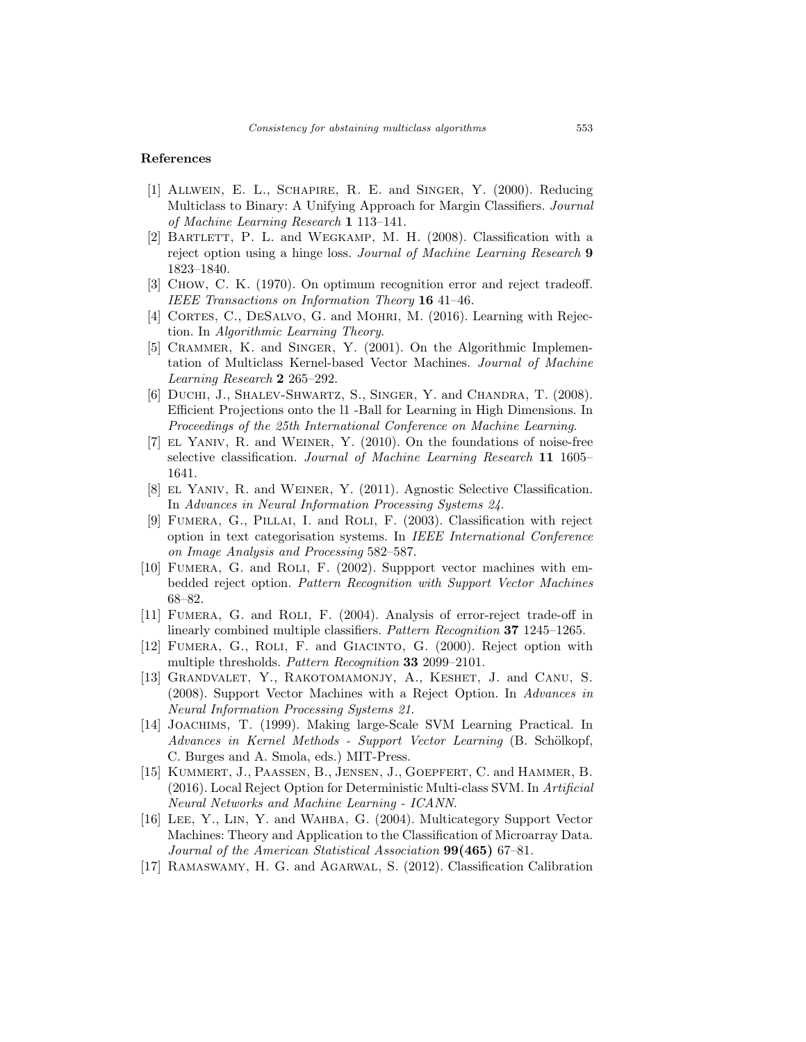### References

- [1] Allwein, E. L., Schapire, R. E. and Singer, Y. (2000). Reducing Multiclass to Binary: A Unifying Approach for Margin Classifiers. Journal of Machine Learning Research 1 113–141.
- [2] BARTLETT, P. L. and WEGKAMP, M. H. (2008). Classification with a reject option using a hinge loss. Journal of Machine Learning Research 9 1823–1840.
- [3] Chow, C. K. (1970). On optimum recognition error and reject tradeoff. IEEE Transactions on Information Theory 16 41–46.
- [4] CORTES, C., DESALVO, G. and MOHRI, M. (2016). Learning with Rejection. In Algorithmic Learning Theory.
- [5] CRAMMER, K. and SINGER, Y. (2001). On the Algorithmic Implementation of Multiclass Kernel-based Vector Machines. Journal of Machine Learning Research 2 265–292.
- [6] DUCHI, J., SHALEV-SHWARTZ, S., SINGER, Y. and CHANDRA, T. (2008). Efficient Projections onto the l1 -Ball for Learning in High Dimensions. In Proceedings of the 25th International Conference on Machine Learning.
- [7] EL YANIV, R. and WEINER, Y. (2010). On the foundations of noise-free selective classification. Journal of Machine Learning Research 11 1605– 1641.
- [8] el Yaniv, R. and Weiner, Y. (2011). Agnostic Selective Classification. In Advances in Neural Information Processing Systems 24.
- [9] FUMERA, G., PILLAI, I. and ROLI, F. (2003). Classification with reject option in text categorisation systems. In IEEE International Conference on Image Analysis and Processing 582–587.
- [10] Fumera, G. and Roli, F. (2002). Suppport vector machines with embedded reject option. Pattern Recognition with Support Vector Machines 68–82.
- [11] Fumera, G. and Roli, F. (2004). Analysis of error-reject trade-off in linearly combined multiple classifiers. Pattern Recognition 37 1245–1265.
- [12] Fumera, G., Roli, F. and Giacinto, G. (2000). Reject option with multiple thresholds. Pattern Recognition 33 2099–2101.
- [13] GRANDVALET, Y., RAKOTOMAMONJY, A., KESHET, J. and CANU, S. (2008). Support Vector Machines with a Reject Option. In Advances in Neural Information Processing Systems 21.
- [14] Joachims, T. (1999). Making large-Scale SVM Learning Practical. In  $Advances$  in Kernel Methods - Support Vector Learning (B. Schölkopf, C. Burges and A. Smola, eds.) MIT-Press.
- [15] Kummert, J., Paassen, B., Jensen, J., Goepfert, C. and Hammer, B. (2016). Local Reject Option for Deterministic Multi-class SVM. In Artificial Neural Networks and Machine Learning - ICANN.
- [16] Lee, Y., Lin, Y. and Wahba, G. (2004). Multicategory Support Vector Machines: Theory and Application to the Classification of Microarray Data. Journal of the American Statistical Association  $99(465)$  67–81.
- [17] Ramaswamy, H. G. and Agarwal, S. (2012). Classification Calibration